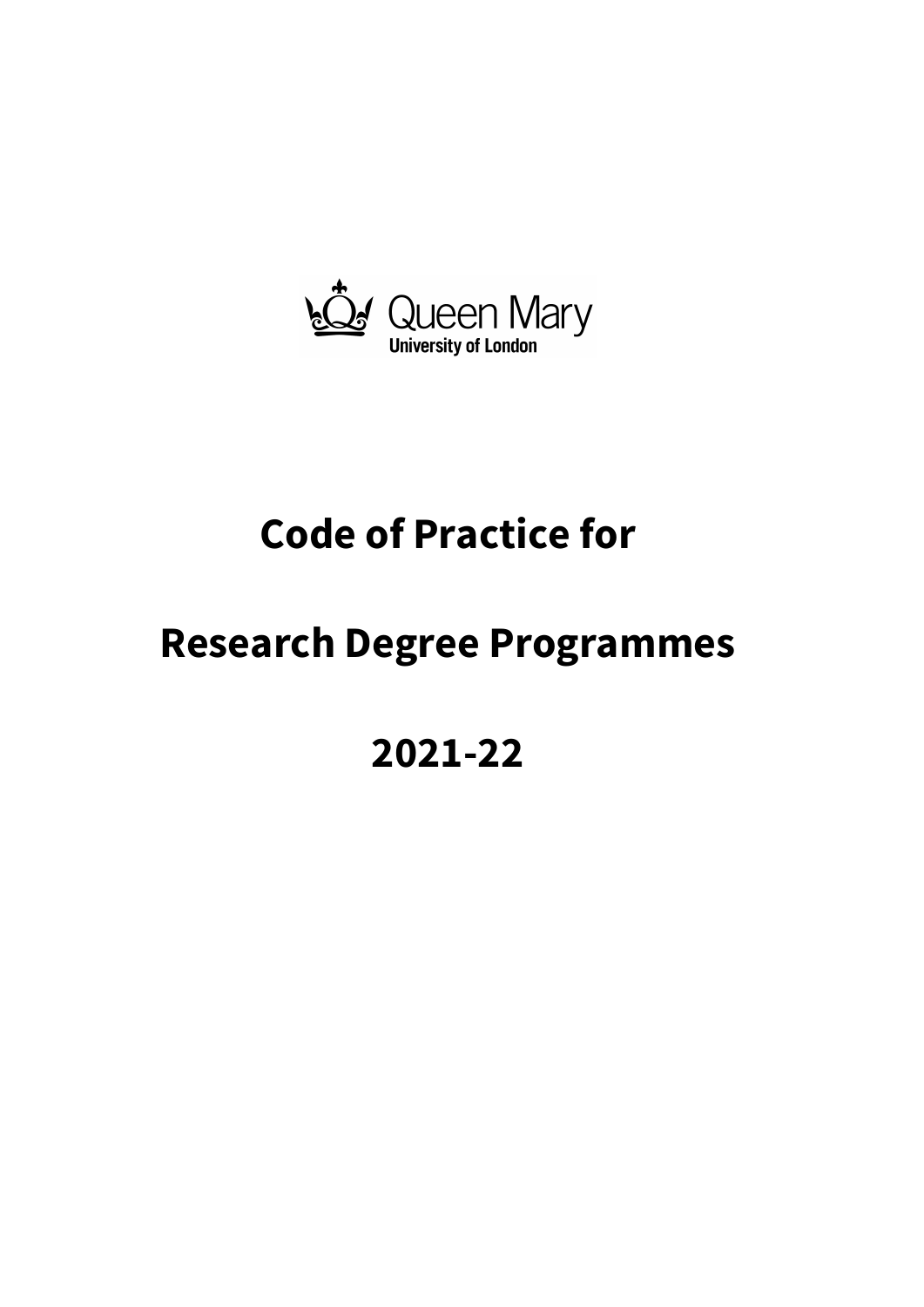

# **Code of Practice for**

## **Research Degree Programmes**

## **2021-22**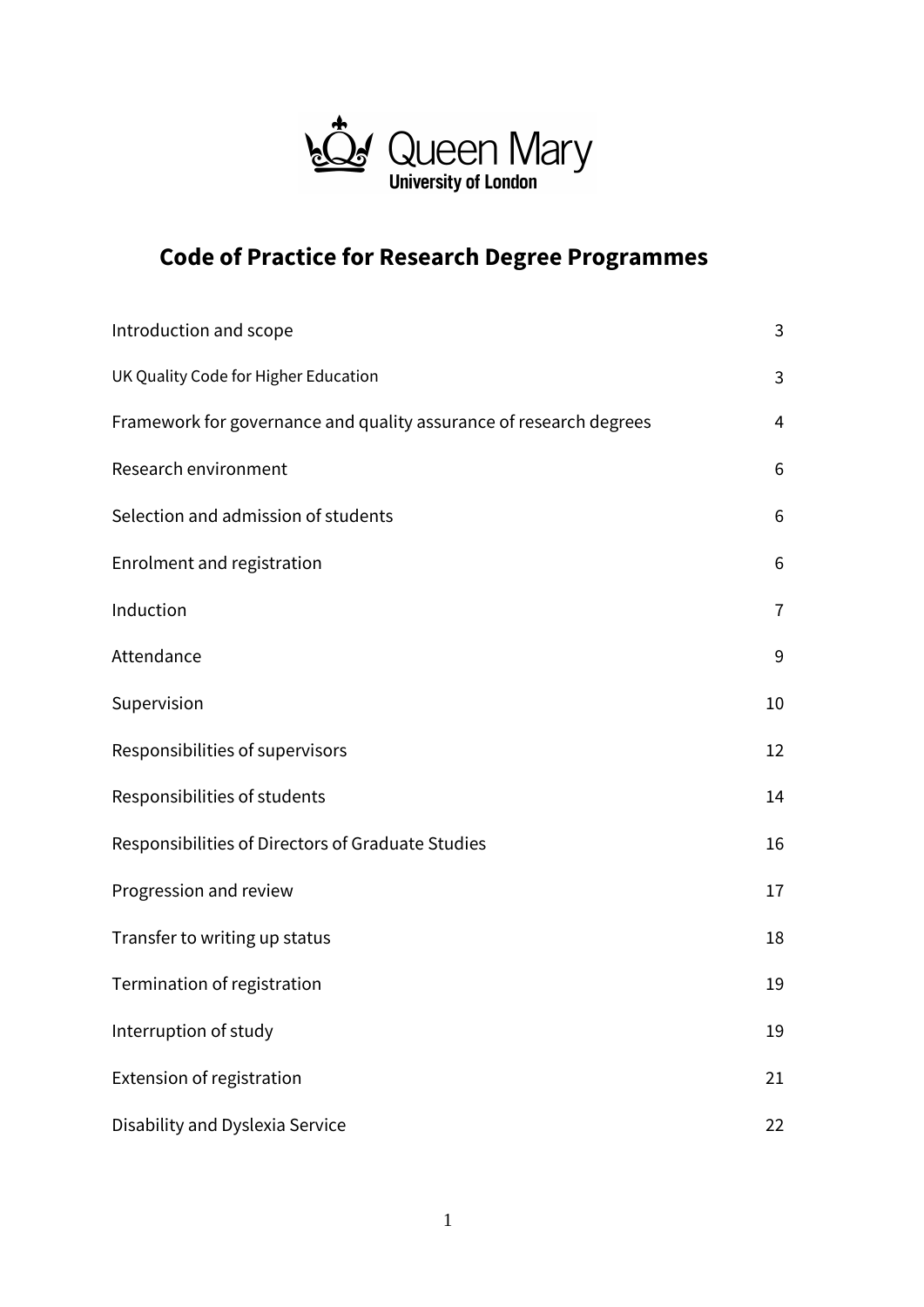

## **Code of Practice for Research Degree Programmes**

| Introduction and scope                                             | 3              |
|--------------------------------------------------------------------|----------------|
| UK Quality Code for Higher Education                               | 3              |
| Framework for governance and quality assurance of research degrees | 4              |
| Research environment                                               | 6              |
| Selection and admission of students                                | 6              |
| Enrolment and registration                                         | 6              |
| Induction                                                          | $\overline{1}$ |
| Attendance                                                         | 9              |
| Supervision                                                        | 10             |
| Responsibilities of supervisors                                    | 12             |
| Responsibilities of students                                       | 14             |
| Responsibilities of Directors of Graduate Studies                  | 16             |
| Progression and review                                             | 17             |
| Transfer to writing up status                                      | 18             |
| Termination of registration                                        | 19             |
| Interruption of study                                              | 19             |
| Extension of registration                                          | 21             |
| Disability and Dyslexia Service                                    | 22             |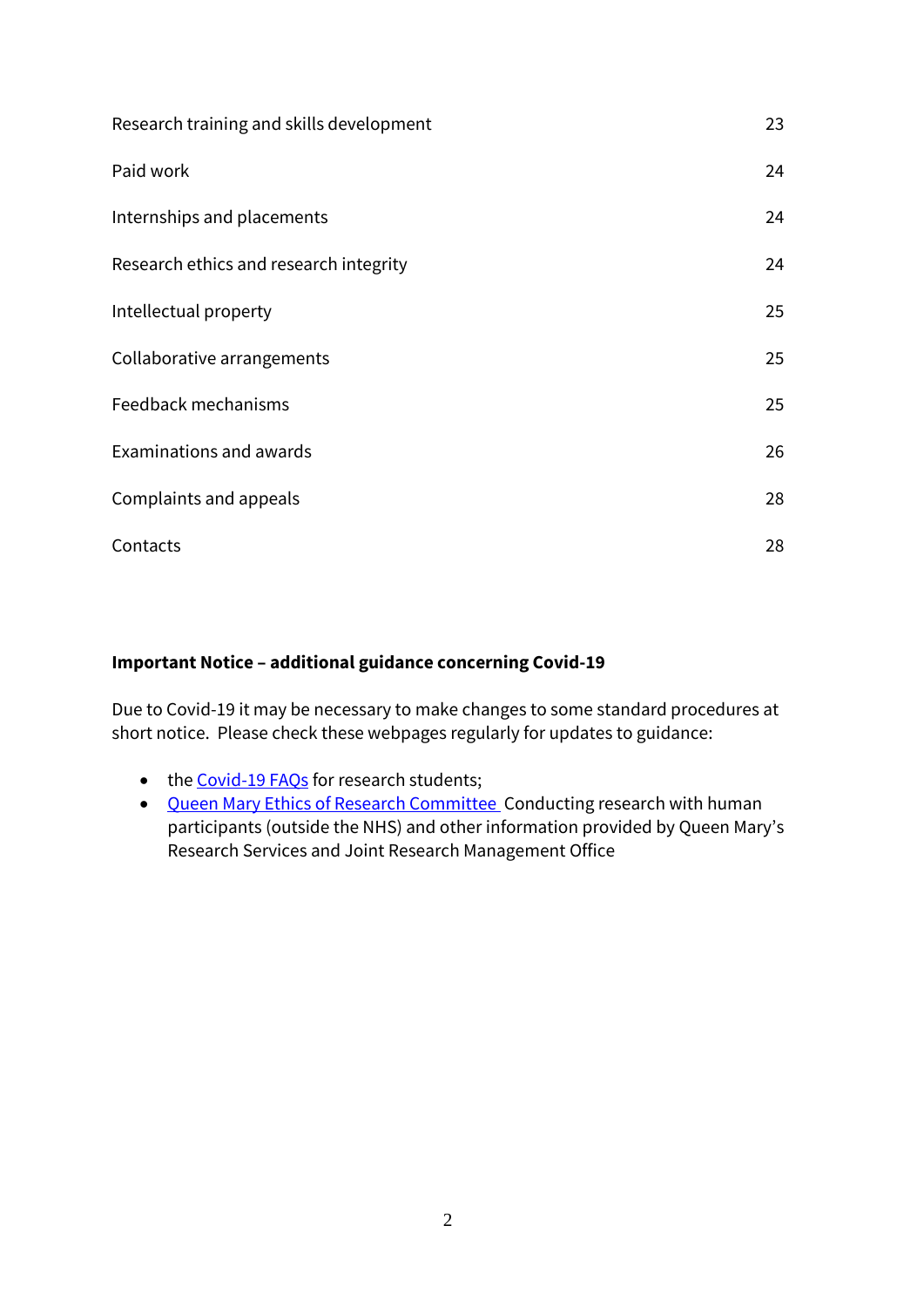| Research training and skills development | 23 |
|------------------------------------------|----|
| Paid work                                | 24 |
| Internships and placements               | 24 |
| Research ethics and research integrity   | 24 |
| Intellectual property                    | 25 |
| Collaborative arrangements               | 25 |
| Feedback mechanisms                      | 25 |
| Examinations and awards                  | 26 |
| Complaints and appeals                   | 28 |
| Contacts                                 | 28 |

## **Important Notice – additional guidance concerning Covid-19**

Due to Covid-19 it may be necessary to make changes to some standard procedures at short notice. Please check these webpages regularly for updates to guidance:

- the [Covid-19 FAQs](https://www.qmul.ac.uk/doctoralcollege/covid-19-faqs---pgr/) for research students;
- [Queen Mary Ethics of Research Committee C](http://www.jrmo.org.uk/performing-research/conducting-research-with-human-participants-outside-the-nhs/)onducting research with human participants (outside the NHS) and other information provided by Queen Mary's Research Services and Joint Research Management Office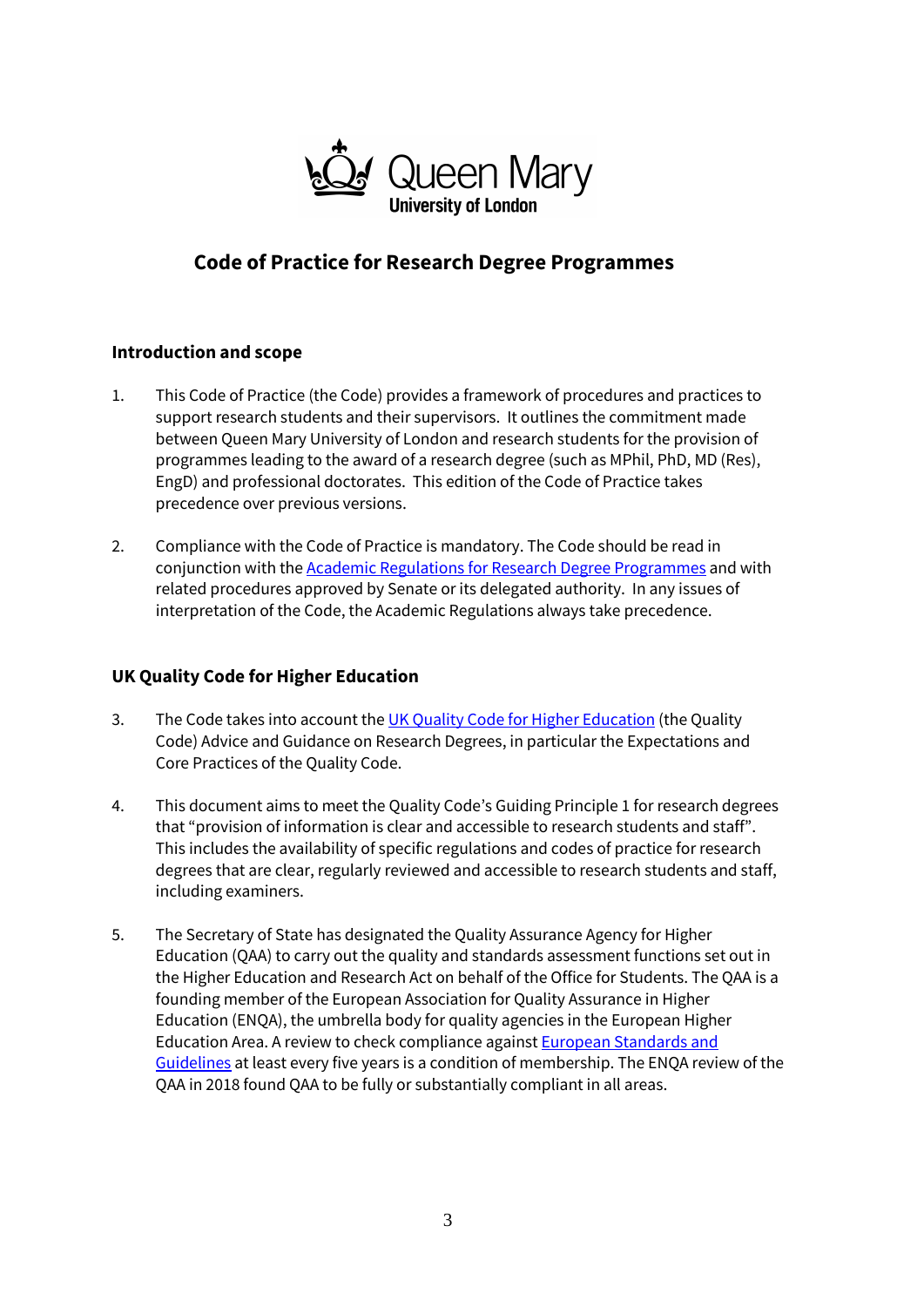

## **Code of Practice for Research Degree Programmes**

## **Introduction and scope**

- 1. This Code of Practice (the Code) provides a framework of procedures and practices to support research students and their supervisors. It outlines the commitment made between Queen Mary University of London and research students for the provision of programmes leading to the award of a research degree (such as MPhil, PhD, MD (Res), EngD) and professional doctorates. This edition of the Code of Practice takes precedence over previous versions.
- 2. Compliance with the Code of Practice is mandatory. The Code should be read in conjunction with th[e Academic Regulations for Research Degree Programmes](http://www.arcs.qmul.ac.uk/policy/) and with related procedures approved by Senate or its delegated authority. In any issues of interpretation of the Code, the Academic Regulations always take precedence.

## **UK Quality Code for Higher Education**

- 3. The Code takes into account th[e UK Quality Code for Higher Education](https://www.qaa.ac.uk/quality-code#.) (the Quality Code) Advice and Guidance on Research Degrees, in particular the Expectations and Core Practices of the Quality Code.
- 4. This document aims to meet the Quality Code's Guiding Principle 1 for research degrees that "provision of information is clear and accessible to research students and staff". This includes the availability of specific regulations and codes of practice for research degrees that are clear, regularly reviewed and accessible to research students and staff, including examiners.
- 5. The Secretary of State has designated the Quality Assurance Agency for Higher Education (QAA) to carry out the quality and standards assessment functions set out in the Higher Education and Research Act on behalf of the Office for Students. The QAA is a founding member of the European Association for Quality Assurance in Higher Education (ENQA), the umbrella body for quality agencies in the European Higher Education Area. A review to check compliance against [European Standards and](http://www.enqa.eu/wp-content/uploads/2015/11/ESG_2015.pdf)  [Guidelines](http://www.enqa.eu/wp-content/uploads/2015/11/ESG_2015.pdf) at least every five years is a condition of membership. The ENQA review of the QAA in 2018 found QAA to be fully or substantially compliant in all areas.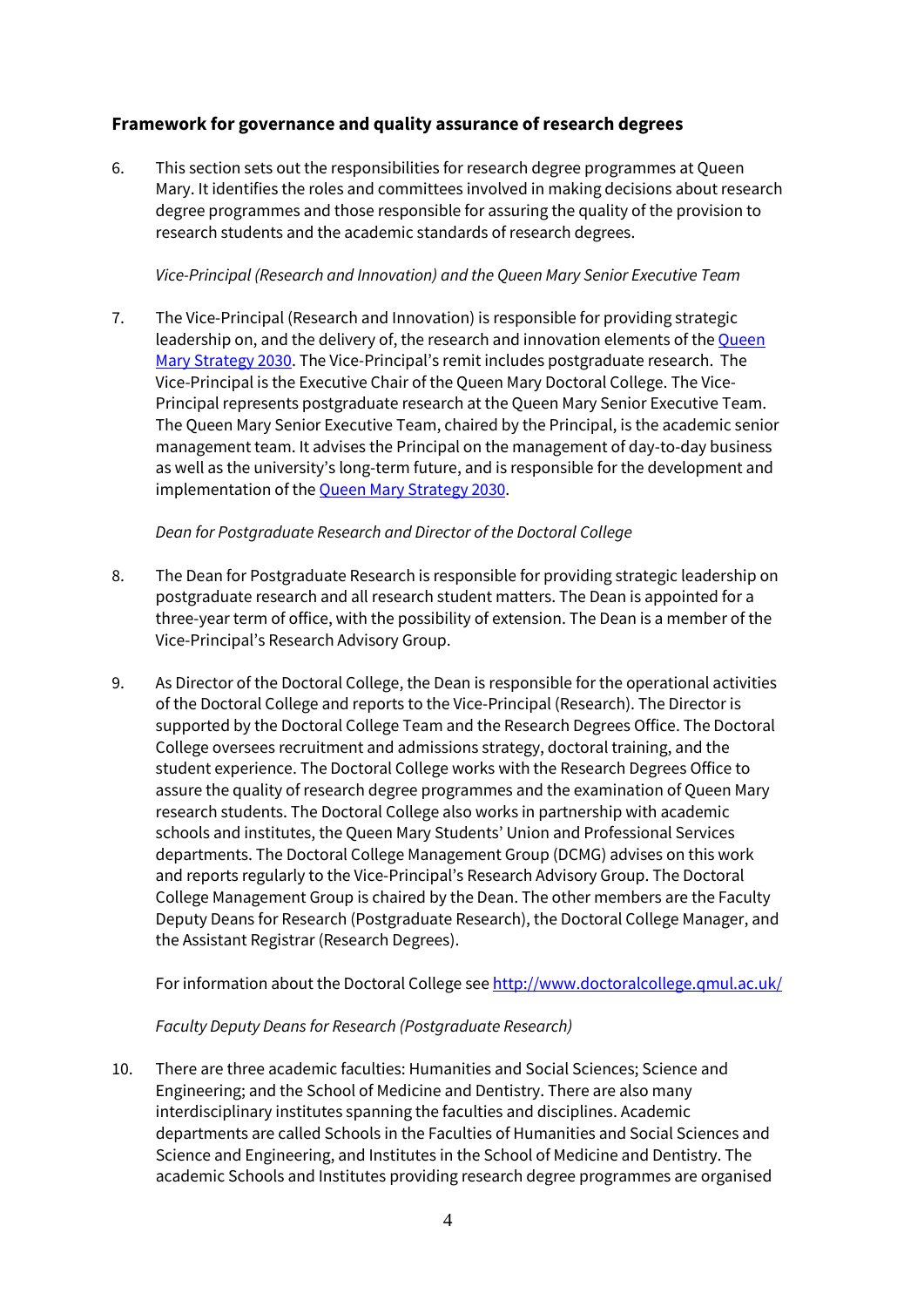## **Framework for governance and quality assurance of research degrees**

6. This section sets out the responsibilities for research degree programmes at Queen Mary. It identifies the roles and committees involved in making decisions about research degree programmes and those responsible for assuring the quality of the provision to research students and the academic standards of research degrees.

#### *Vice-Principal (Research and Innovation) and the Queen Mary Senior Executive Team*

7. The Vice-Principal (Research and Innovation) is responsible for providing strategic leadership on, and the delivery of, the research and innovation elements of the [Queen](https://www.qmul.ac.uk/strategy-2030/)  [Mary Strategy 2030.](https://www.qmul.ac.uk/strategy-2030/) The Vice-Principal's remit includes postgraduate research. The Vice-Principal is the Executive Chair of the Queen Mary Doctoral College. The Vice-Principal represents postgraduate research at the Queen Mary Senior Executive Team. The Queen Mary Senior Executive Team, chaired by the Principal, is the academic senior management team. It advises the Principal on the management of day-to-day business as well as the university's long-term future, and is responsible for the development and implementation of the Queen Mary [Strategy 2030.](https://www.qmul.ac.uk/strategy-2030/)

#### *Dean for Postgraduate Research and Director of the Doctoral College*

- 8. The Dean for Postgraduate Research is responsible for providing strategic leadership on postgraduate research and all research student matters. The Dean is appointed for a three-year term of office, with the possibility of extension. The Dean is a member of the Vice-Principal's Research Advisory Group.
- 9. As Director of the Doctoral College, the Dean is responsible for the operational activities of the Doctoral College and reports to the Vice-Principal (Research). The Director is supported by the Doctoral College Team and the Research Degrees Office. The Doctoral College oversees recruitment and admissions strategy, doctoral training, and the student experience. The Doctoral College works with the Research Degrees Office to assure the quality of research degree programmes and the examination of Queen Mary research students. The Doctoral College also works in partnership with academic schools and institutes, the Queen Mary Students' Union and Professional Services departments. The Doctoral College Management Group (DCMG) advises on this work and reports regularly to the Vice-Principal's Research Advisory Group. The Doctoral College Management Group is chaired by the Dean. The other members are the Faculty Deputy Deans for Research (Postgraduate Research), the Doctoral College Manager, and the Assistant Registrar (Research Degrees).

For information about the Doctoral College se[e http://www.doctoralcollege.qmul.ac.uk/](http://www.doctoralcollege.qmul.ac.uk/)

## *Faculty Deputy Deans for Research (Postgraduate Research)*

10. There are three academic faculties: Humanities and Social Sciences; Science and Engineering; and the School of Medicine and Dentistry. There are also many interdisciplinary institutes spanning the faculties and disciplines. Academic departments are called Schools in the Faculties of Humanities and Social Sciences and Science and Engineering, and Institutes in the School of Medicine and Dentistry. The academic Schools and Institutes providing research degree programmes are organised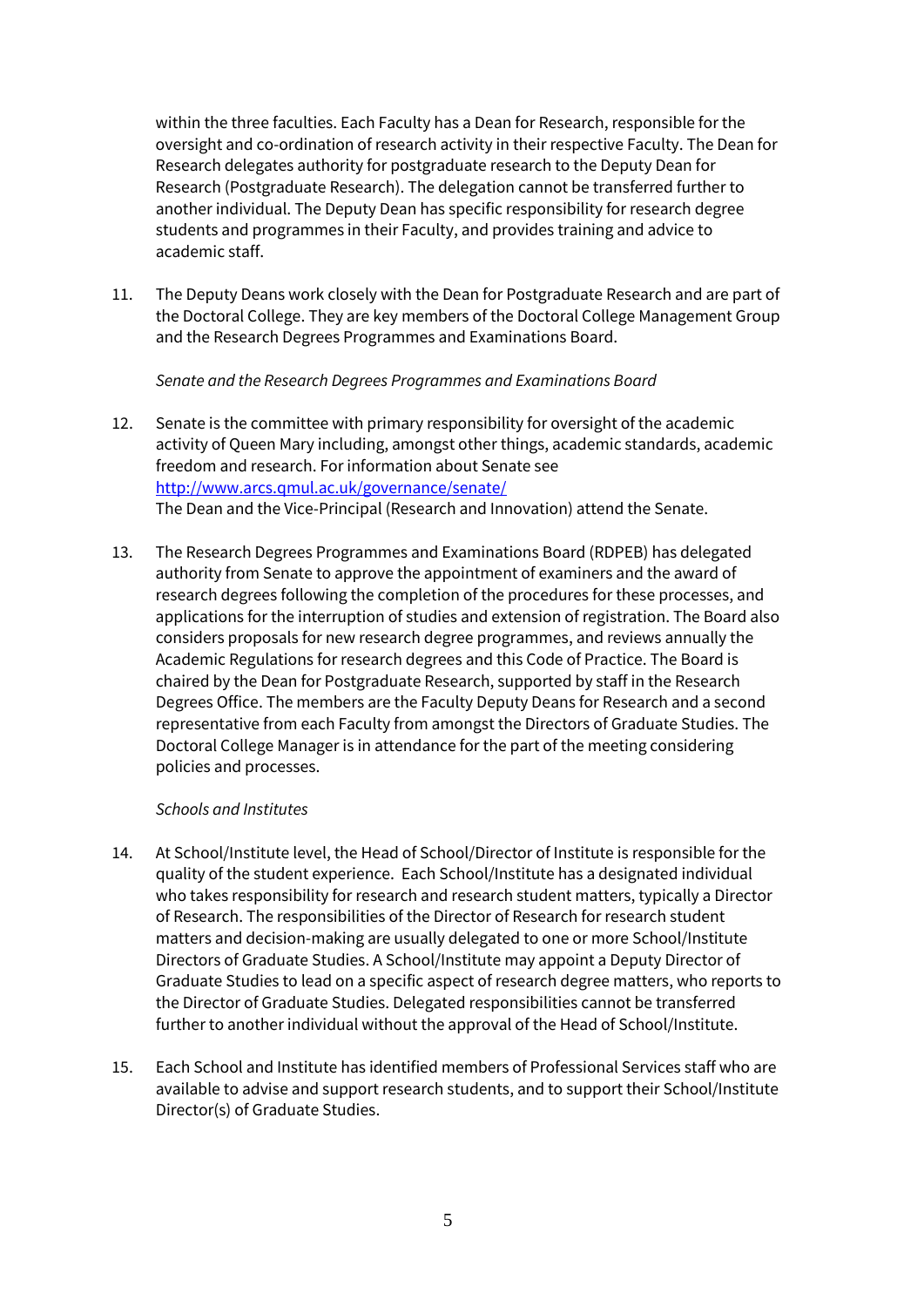within the three faculties. Each Faculty has a Dean for Research, responsible for the oversight and co-ordination of research activity in their respective Faculty. The Dean for Research delegates authority for postgraduate research to the Deputy Dean for Research (Postgraduate Research). The delegation cannot be transferred further to another individual. The Deputy Dean has specific responsibility for research degree students and programmes in their Faculty, and provides training and advice to academic staff.

11. The Deputy Deans work closely with the Dean for Postgraduate Research and are part of the Doctoral College. They are key members of the Doctoral College Management Group and the Research Degrees Programmes and Examinations Board.

*Senate and the Research Degrees Programmes and Examinations Board*

- 12. Senate is the committee with primary responsibility for oversight of the academic activity of Queen Mary including, amongst other things, academic standards, academic freedom and research. For information about Senate see <http://www.arcs.qmul.ac.uk/governance/senate/> The Dean and the Vice-Principal (Research and Innovation) attend the Senate.
- 13. The Research Degrees Programmes and Examinations Board (RDPEB) has delegated authority from Senate to approve the appointment of examiners and the award of research degrees following the completion of the procedures for these processes, and applications for the interruption of studies and extension of registration. The Board also considers proposals for new research degree programmes, and reviews annually the Academic Regulations for research degrees and this Code of Practice. The Board is chaired by the Dean for Postgraduate Research, supported by staff in the Research Degrees Office. The members are the Faculty Deputy Deans for Research and a second representative from each Faculty from amongst the Directors of Graduate Studies. The Doctoral College Manager is in attendance for the part of the meeting considering policies and processes.

#### *Schools and Institutes*

- 14. At School/Institute level, the Head of School/Director of Institute is responsible for the quality of the student experience. Each School/Institute has a designated individual who takes responsibility for research and research student matters, typically a Director of Research. The responsibilities of the Director of Research for research student matters and decision-making are usually delegated to one or more School/Institute Directors of Graduate Studies. A School/Institute may appoint a Deputy Director of Graduate Studies to lead on a specific aspect of research degree matters, who reports to the Director of Graduate Studies. Delegated responsibilities cannot be transferred further to another individual without the approval of the Head of School/Institute.
- 15. Each School and Institute has identified members of Professional Services staff who are available to advise and support research students, and to support their School/Institute Director(s) of Graduate Studies.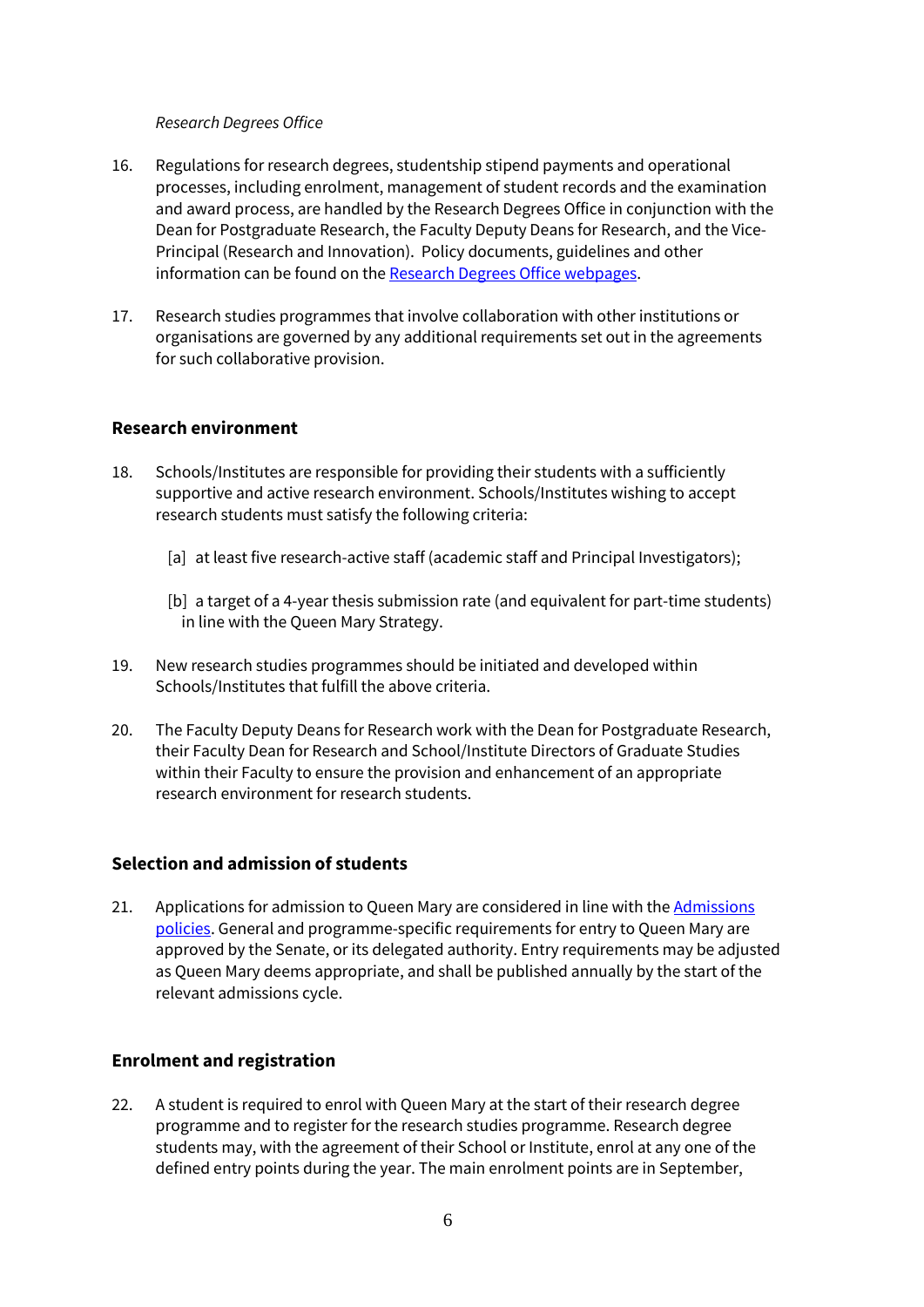#### *Research Degrees Office*

- 16. Regulations for research degrees, studentship stipend payments and operational processes, including enrolment, management of student records and the examination and award process, are handled by the Research Degrees Office in conjunction with the Dean for Postgraduate Research, the Faculty Deputy Deans for Research, and the Vice-Principal (Research and Innovation). Policy documents, guidelines and other information can be found on the [Research Degrees Office webpages.](http://www.arcs.qmul.ac.uk/research-degrees/index.html)
- 17. Research studies programmes that involve collaboration with other institutions or organisations are governed by any additional requirements set out in the agreements for such collaborative provision.

#### **Research environment**

- 18. Schools/Institutes are responsible for providing their students with a sufficiently supportive and active research environment. Schools/Institutes wishing to accept research students must satisfy the following criteria:
	- [a] at least five research-active staff (academic staff and Principal Investigators);
	- [b] a target of a 4-year thesis submission rate (and equivalent for part-time students) in line with the Queen Mary Strategy.
- 19. New research studies programmes should be initiated and developed within Schools/Institutes that fulfill the above criteria.
- 20. The Faculty Deputy Deans for Research work with the Dean for Postgraduate Research, their Faculty Dean for Research and School/Institute Directors of Graduate Studies within their Faculty to ensure the provision and enhancement of an appropriate research environment for research students.

## **Selection and admission of students**

21. Applications for admission to Queen Mary are considered in line with the Admissions [policies.](http://www.arcs.qmul.ac.uk/policy/) General and programme-specific requirements for entry to Queen Mary are approved by the Senate, or its delegated authority. Entry requirements may be adjusted as Queen Mary deems appropriate, and shall be published annually by the start of the relevant admissions cycle.

## **Enrolment and registration**

22. A student is required to enrol with Queen Mary at the start of their research degree programme and to register for the research studies programme. Research degree students may, with the agreement of their School or Institute, enrol at any one of the defined entry points during the year. The main enrolment points are in September,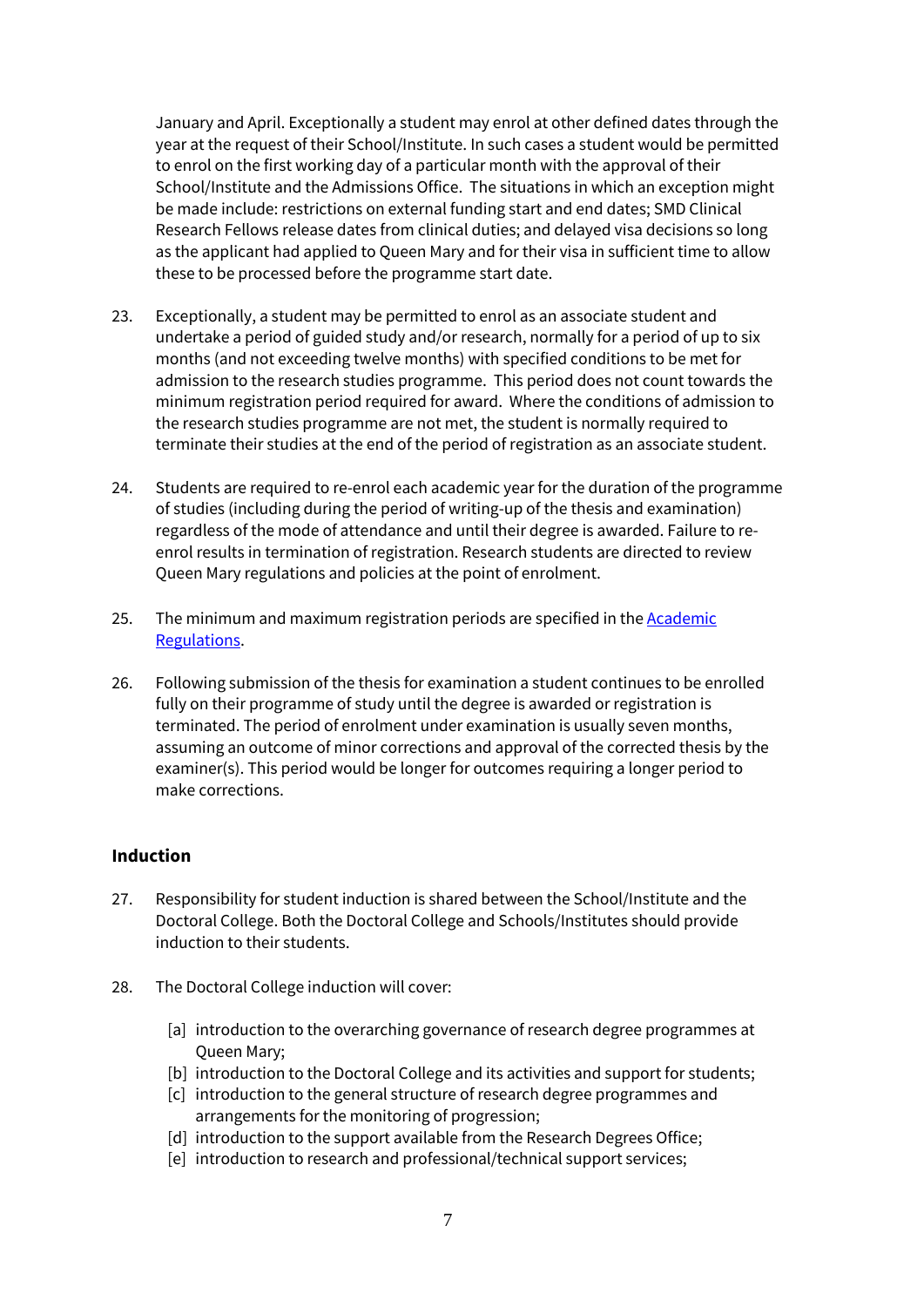January and April. Exceptionally a student may enrol at other defined dates through the year at the request of their School/Institute. In such cases a student would be permitted to enrol on the first working day of a particular month with the approval of their School/Institute and the Admissions Office. The situations in which an exception might be made include: restrictions on external funding start and end dates; SMD Clinical Research Fellows release dates from clinical duties; and delayed visa decisions so long as the applicant had applied to Queen Mary and for their visa in sufficient time to allow these to be processed before the programme start date.

- 23. Exceptionally, a student may be permitted to enrol as an associate student and undertake a period of guided study and/or research, normally for a period of up to six months (and not exceeding twelve months) with specified conditions to be met for admission to the research studies programme. This period does not count towards the minimum registration period required for award. Where the conditions of admission to the research studies programme are not met, the student is normally required to terminate their studies at the end of the period of registration as an associate student.
- 24. Students are required to re-enrol each academic year for the duration of the programme of studies (including during the period of writing-up of the thesis and examination) regardless of the mode of attendance and until their degree is awarded. Failure to reenrol results in termination of registration. Research students are directed to review Queen Mary regulations and policies at the point of enrolment.
- 25. The minimum and maximum registration periods are specified in the [Academic](http://www.arcs.qmul.ac.uk/media/arcs/policyzone/academic/Academic-Regulations-2020-21-FINAL.pdf)  [Regulations.](http://www.arcs.qmul.ac.uk/media/arcs/policyzone/academic/Academic-Regulations-2020-21-FINAL.pdf)
- 26. Following submission of the thesis for examination a student continues to be enrolled fully on their programme of study until the degree is awarded or registration is terminated. The period of enrolment under examination is usually seven months, assuming an outcome of minor corrections and approval of the corrected thesis by the examiner(s). This period would be longer for outcomes requiring a longer period to make corrections.

#### **Induction**

- 27. Responsibility for student induction is shared between the School/Institute and the Doctoral College. Both the Doctoral College and Schools/Institutes should provide induction to their students.
- 28. The Doctoral College induction will cover:
	- [a] introduction to the overarching governance of research degree programmes at Queen Mary;
	- [b] introduction to the Doctoral College and its activities and support for students;
	- [c] introduction to the general structure of research degree programmes and arrangements for the monitoring of progression;
	- [d] introduction to the support available from the Research Degrees Office;
	- [e] introduction to research and professional/technical support services;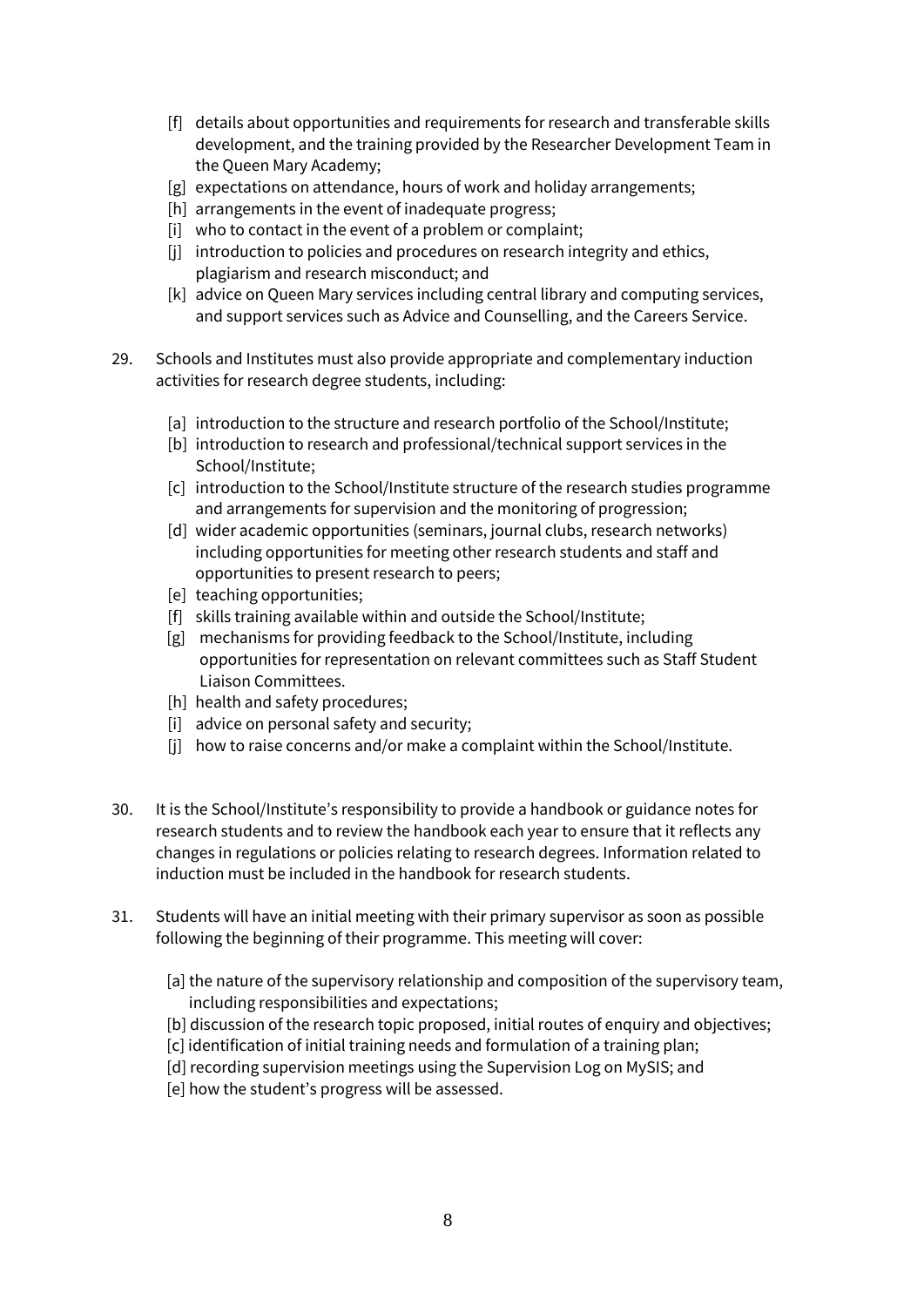- [f] details about opportunities and requirements for research and transferable skills development, and the training provided by the Researcher Development Team in the Queen Mary Academy;
- [g] expectations on attendance, hours of work and holiday arrangements;
- [h] arrangements in the event of inadequate progress;
- [i] who to contact in the event of a problem or complaint;
- [i] introduction to policies and procedures on research integrity and ethics, plagiarism and research misconduct; and
- [k] advice on Queen Mary services including central library and computing services, and support services such as Advice and Counselling, and the Careers Service.
- 29. Schools and Institutes must also provide appropriate and complementary induction activities for research degree students, including:
	- [a] introduction to the structure and research portfolio of the School/Institute;
	- [b] introduction to research and professional/technical support services in the School/Institute;
	- [c] introduction to the School/Institute structure of the research studies programme and arrangements for supervision and the monitoring of progression;
	- [d] wider academic opportunities (seminars, journal clubs, research networks) including opportunities for meeting other research students and staff and opportunities to present research to peers;
	- [e] teaching opportunities;
	- [f] skills training available within and outside the School/Institute;
	- [g] mechanisms for providing feedback to the School/Institute, including opportunities for representation on relevant committees such as Staff Student Liaison Committees.
	- [h] health and safety procedures;
	- [i] advice on personal safety and security;
	- [i] how to raise concerns and/or make a complaint within the School/Institute.
- 30. It is the School/Institute's responsibility to provide a handbook or guidance notes for research students and to review the handbook each year to ensure that it reflects any changes in regulations or policies relating to research degrees. Information related to induction must be included in the handbook for research students.
- 31. Students will have an initial meeting with their primary supervisor as soon as possible following the beginning of their programme. This meeting will cover:
	- [a] the nature of the supervisory relationship and composition of the supervisory team, including responsibilities and expectations;
	- [b] discussion of the research topic proposed, initial routes of enquiry and objectives;
	- [c] identification of initial training needs and formulation of a training plan;
	- [d] recording supervision meetings using the Supervision Log on MySIS; and
	- [e] how the student's progress will be assessed.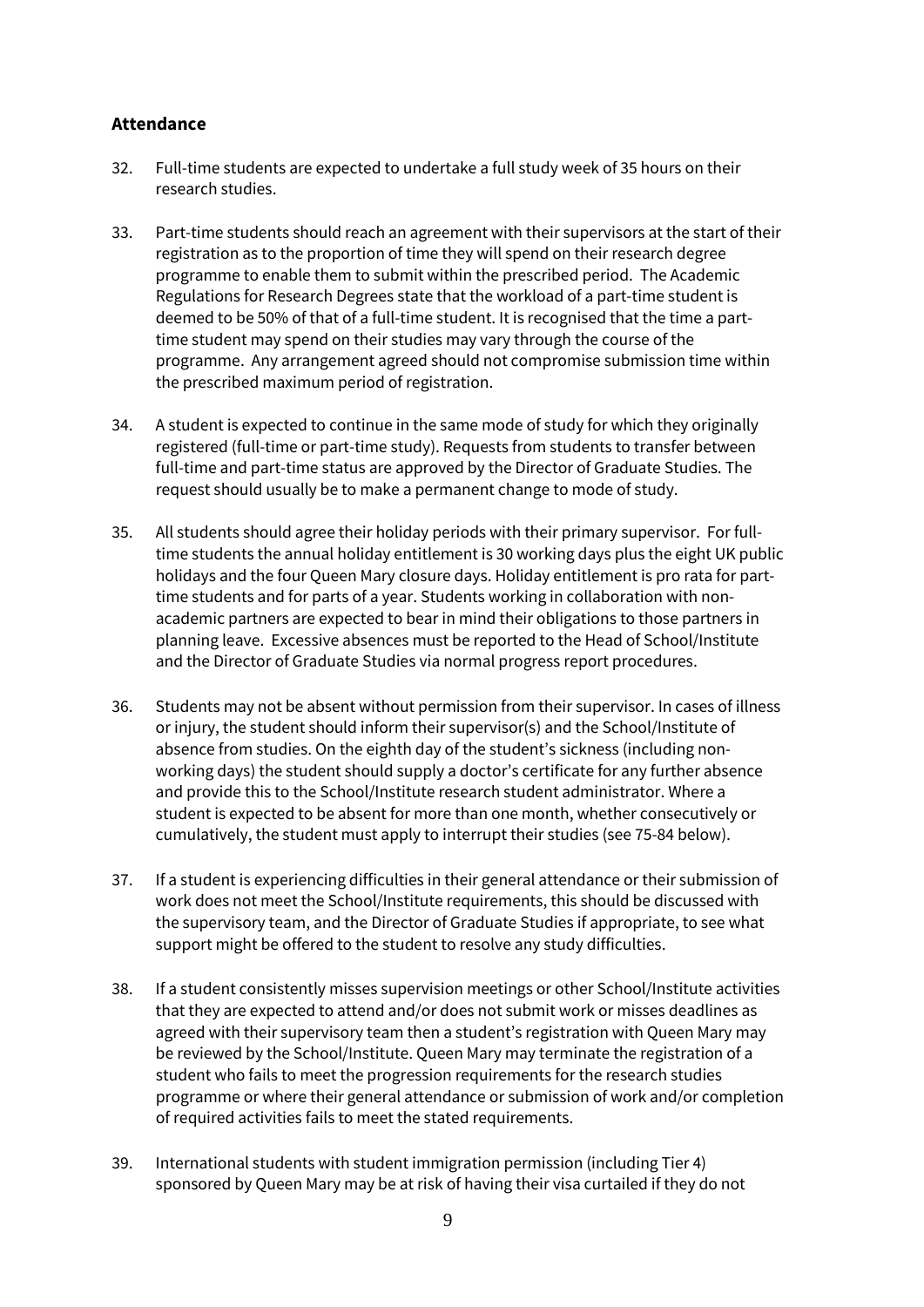## **Attendance**

- 32. Full-time students are expected to undertake a full study week of 35 hours on their research studies.
- 33. Part-time students should reach an agreement with their supervisors at the start of their registration as to the proportion of time they will spend on their research degree programme to enable them to submit within the prescribed period. The Academic Regulations for Research Degrees state that the workload of a part-time student is deemed to be 50% of that of a full-time student. It is recognised that the time a parttime student may spend on their studies may vary through the course of the programme. Any arrangement agreed should not compromise submission time within the prescribed maximum period of registration.
- 34. A student is expected to continue in the same mode of study for which they originally registered (full-time or part-time study). Requests from students to transfer between full-time and part-time status are approved by the Director of Graduate Studies. The request should usually be to make a permanent change to mode of study.
- 35. All students should agree their holiday periods with their primary supervisor. For fulltime students the annual holiday entitlement is 30 working days plus the eight UK public holidays and the four Queen Mary closure days. Holiday entitlement is pro rata for parttime students and for parts of a year. Students working in collaboration with nonacademic partners are expected to bear in mind their obligations to those partners in planning leave. Excessive absences must be reported to the Head of School/Institute and the Director of Graduate Studies via normal progress report procedures.
- 36. Students may not be absent without permission from their supervisor. In cases of illness or injury, the student should inform their supervisor(s) and the School/Institute of absence from studies. On the eighth day of the student's sickness (including nonworking days) the student should supply a doctor's certificate for any further absence and provide this to the School/Institute research student administrator. Where a student is expected to be absent for more than one month, whether consecutively or cumulatively, the student must apply to interrupt their studies (see 75-84 below).
- 37. If a student is experiencing difficulties in their general attendance or their submission of work does not meet the School/Institute requirements, this should be discussed with the supervisory team, and the Director of Graduate Studies if appropriate, to see what support might be offered to the student to resolve any study difficulties.
- 38. If a student consistently misses supervision meetings or other School/Institute activities that they are expected to attend and/or does not submit work or misses deadlines as agreed with their supervisory team then a student's registration with Queen Mary may be reviewed by the School/Institute. Queen Mary may terminate the registration of a student who fails to meet the progression requirements for the research studies programme or where their general attendance or submission of work and/or completion of required activities fails to meet the stated requirements.
- 39. International students with student immigration permission (including Tier 4) sponsored by Queen Mary may be at risk of having their visa curtailed if they do not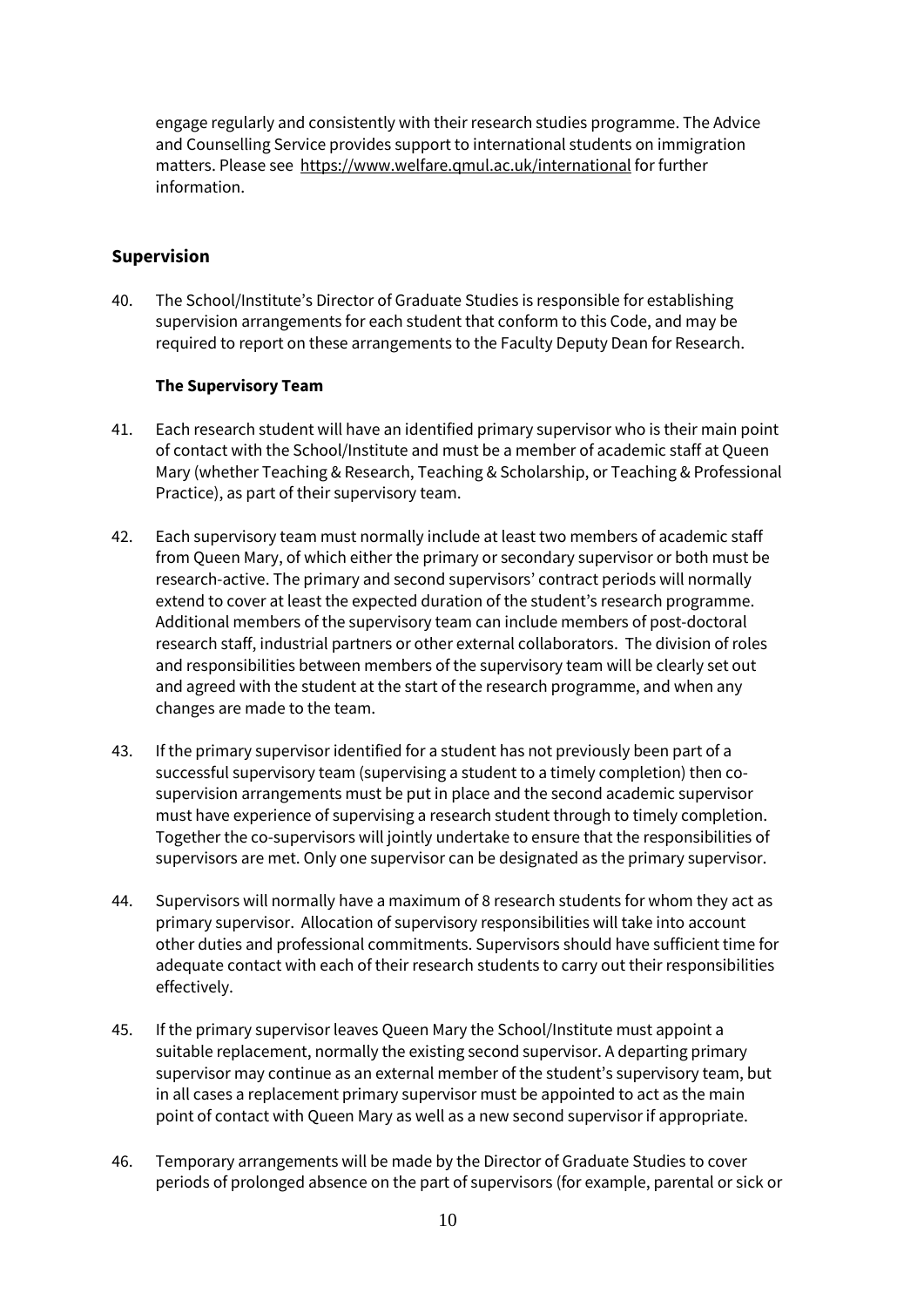engage regularly and consistently with their research studies programme. The Advice and Counselling Service provides support to international students on immigration matters. Please see<https://www.welfare.qmul.ac.uk/international> for further information.

## **Supervision**

40. The School/Institute's Director of Graduate Studies is responsible for establishing supervision arrangements for each student that conform to this Code, and may be required to report on these arrangements to the Faculty Deputy Dean for Research.

#### **The Supervisory Team**

- 41. Each research student will have an identified primary supervisor who is their main point of contact with the School/Institute and must be a member of academic staff at Queen Mary (whether Teaching & Research, Teaching & Scholarship, or Teaching & Professional Practice), as part of their supervisory team.
- 42. Each supervisory team must normally include at least two members of academic staff from Queen Mary, of which either the primary or secondary supervisor or both must be research-active. The primary and second supervisors' contract periods will normally extend to cover at least the expected duration of the student's research programme. Additional members of the supervisory team can include members of post-doctoral research staff, industrial partners or other external collaborators. The division of roles and responsibilities between members of the supervisory team will be clearly set out and agreed with the student at the start of the research programme, and when any changes are made to the team.
- 43. If the primary supervisor identified for a student has not previously been part of a successful supervisory team (supervising a student to a timely completion) then cosupervision arrangements must be put in place and the second academic supervisor must have experience of supervising a research student through to timely completion. Together the co-supervisors will jointly undertake to ensure that the responsibilities of supervisors are met. Only one supervisor can be designated as the primary supervisor.
- 44. Supervisors will normally have a maximum of 8 research students for whom they act as primary supervisor. Allocation of supervisory responsibilities will take into account other duties and professional commitments. Supervisors should have sufficient time for adequate contact with each of their research students to carry out their responsibilities effectively.
- 45. If the primary supervisor leaves Queen Mary the School/Institute must appoint a suitable replacement, normally the existing second supervisor. A departing primary supervisor may continue as an external member of the student's supervisory team, but in all cases a replacement primary supervisor must be appointed to act as the main point of contact with Queen Mary as well as a new second supervisor if appropriate.
- 46. Temporary arrangements will be made by the Director of Graduate Studies to cover periods of prolonged absence on the part of supervisors (for example, parental or sick or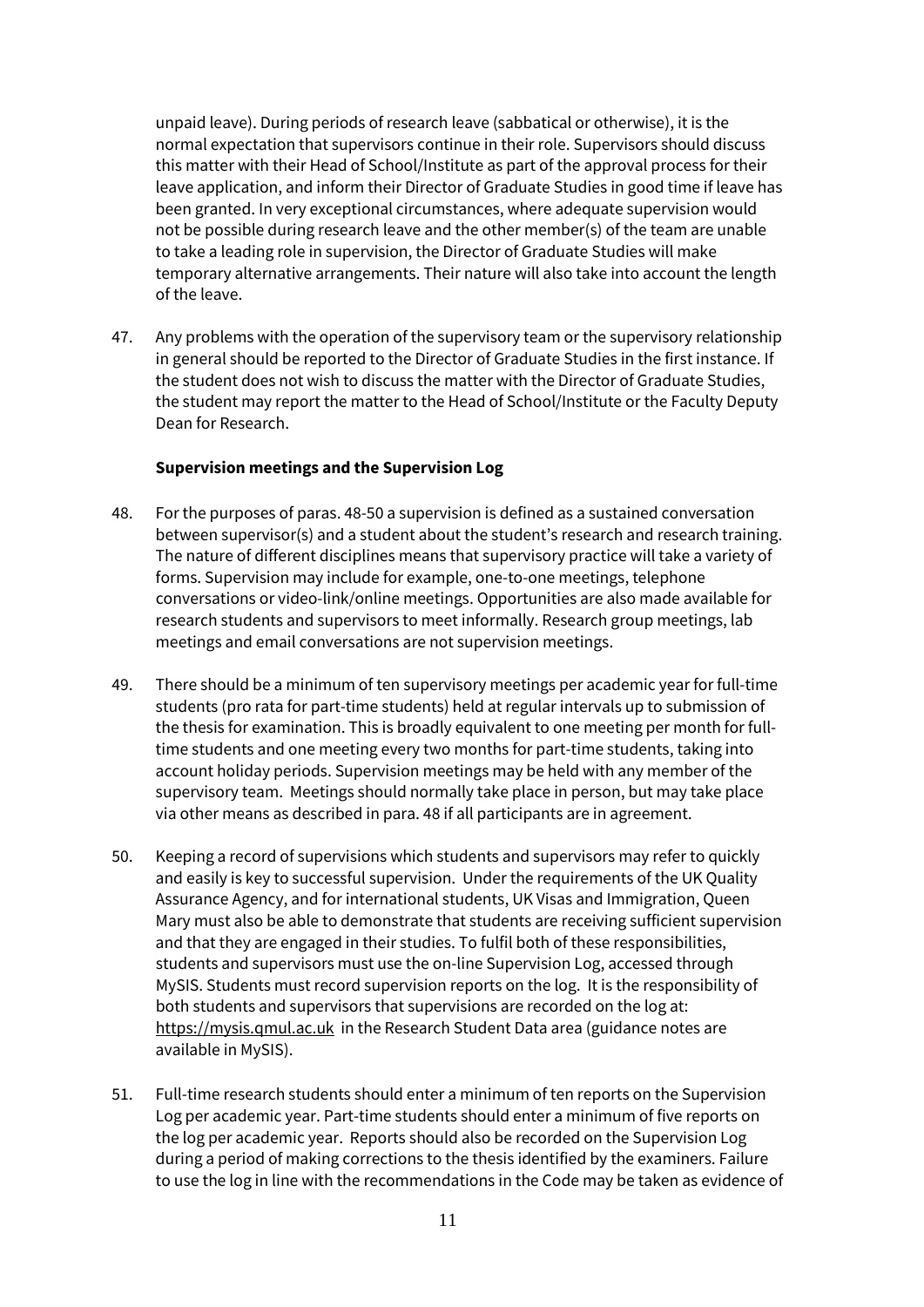unpaid leave). During periods of research leave (sabbatical or otherwise), it is the normal expectation that supervisors continue in their role. Supervisors should discuss this matter with their Head of School/Institute as part of the approval process for their leave application, and inform their Director of Graduate Studies in good time if leave has been granted. In very exceptional circumstances, where adequate supervision would not be possible during research leave and the other member(s) of the team are unable to take a leading role in supervision, the Director of Graduate Studies will make temporary alternative arrangements. Their nature will also take into account the length of the leave.

47. Any problems with the operation of the supervisory team or the supervisory relationship in general should be reported to the Director of Graduate Studies in the first instance. If the student does not wish to discuss the matter with the Director of Graduate Studies, the student may report the matter to the Head of School/Institute or the Faculty Deputy Dean for Research.

#### **Supervision meetings and the Supervision Log**

- 48. For the purposes of paras. 48-50 a supervision is defined as a sustained conversation between supervisor(s) and a student about the student's research and research training. The nature of different disciplines means that supervisory practice will take a variety of forms. Supervision may include for example, one-to-one meetings, telephone conversations or video-link/online meetings. Opportunities are also made available for research students and supervisors to meet informally. Research group meetings, lab meetings and email conversations are not supervision meetings.
- 49. There should be a minimum of ten supervisory meetings per academic year for full-time students (pro rata for part-time students) held at regular intervals up to submission of the thesis for examination. This is broadly equivalent to one meeting per month for fulltime students and one meeting every two months for part-time students, taking into account holiday periods. Supervision meetings may be held with any member of the supervisory team. Meetings should normally take place in person, but may take place via other means as described in para. 48 if all participants are in agreement.
- 50. Keeping a record of supervisions which students and supervisors may refer to quickly and easily is key to successful supervision. Under the requirements of the UK Quality Assurance Agency, and for international students, UK Visas and Immigration, Queen Mary must also be able to demonstrate that students are receiving sufficient supervision and that they are engaged in their studies. To fulfil both of these responsibilities, students and supervisors must use the on-line Supervision Log, accessed through MySIS. Students must record supervision reports on the log. It is the responsibility of both students and supervisors that supervisions are recorded on the log at: [https://mysis.qmul.ac.uk](https://mysis.qmul.ac.uk/) in the Research Student Data area (guidance notes are available in MySIS).
- 51. Full-time research students should enter a minimum of ten reports on the Supervision Log per academic year. Part-time students should enter a minimum of five reports on the log per academic year. Reports should also be recorded on the Supervision Log during a period of making corrections to the thesis identified by the examiners. Failure to use the log in line with the recommendations in the Code may be taken as evidence of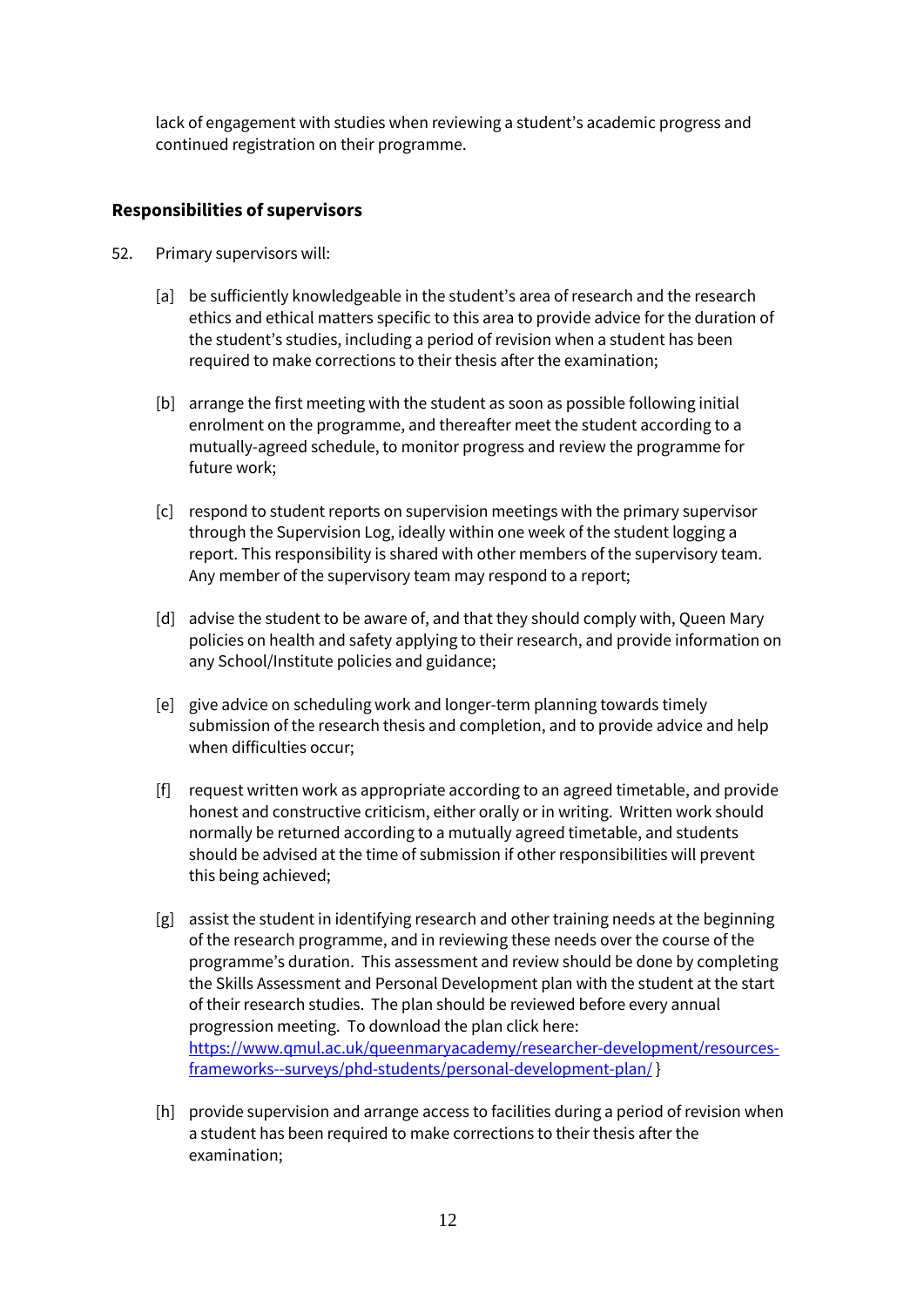lack of engagement with studies when reviewing a student's academic progress and continued registration on their programme.

#### **Responsibilities of supervisors**

- 52. Primary supervisors will:
	- [a] be sufficiently knowledgeable in the student's area of research and the research ethics and ethical matters specific to this area to provide advice for the duration of the student's studies, including a period of revision when a student has been required to make corrections to their thesis after the examination;
	- [b] arrange the first meeting with the student as soon as possible following initial enrolment on the programme, and thereafter meet the student according to a mutually-agreed schedule, to monitor progress and review the programme for future work;
	- [c] respond to student reports on supervision meetings with the primary supervisor through the Supervision Log, ideally within one week of the student logging a report. This responsibility is shared with other members of the supervisory team. Any member of the supervisory team may respond to a report;
	- [d] advise the student to be aware of, and that they should comply with, Queen Mary policies on health and safety applying to their research, and provide information on any School/Institute policies and guidance;
	- [e] give advice on scheduling work and longer-term planning towards timely submission of the research thesis and completion, and to provide advice and help when difficulties occur;
	- [f] request written work as appropriate according to an agreed timetable, and provide honest and constructive criticism, either orally or in writing. Written work should normally be returned according to a mutually agreed timetable, and students should be advised at the time of submission if other responsibilities will prevent this being achieved;
	- [g] assist the student in identifying research and other training needs at the beginning of the research programme, and in reviewing these needs over the course of the programme's duration. This assessment and review should be done by completing the Skills Assessment and Personal Development plan with the student at the start of their research studies. The plan should be reviewed before every annual progression meeting. To download the plan click here: [https://www.qmul.ac.uk/queenmaryacademy/researcher-development/resources](https://www.qmul.ac.uk/queenmaryacademy/researcher-development/resources-frameworks--surveys/phd-students/personal-development-plan/)[frameworks--surveys/phd-students/personal-development-plan/](https://www.qmul.ac.uk/queenmaryacademy/researcher-development/resources-frameworks--surveys/phd-students/personal-development-plan/) }
	- [h] provide supervision and arrange access to facilities during a period of revision when a student has been required to make corrections to their thesis after the examination;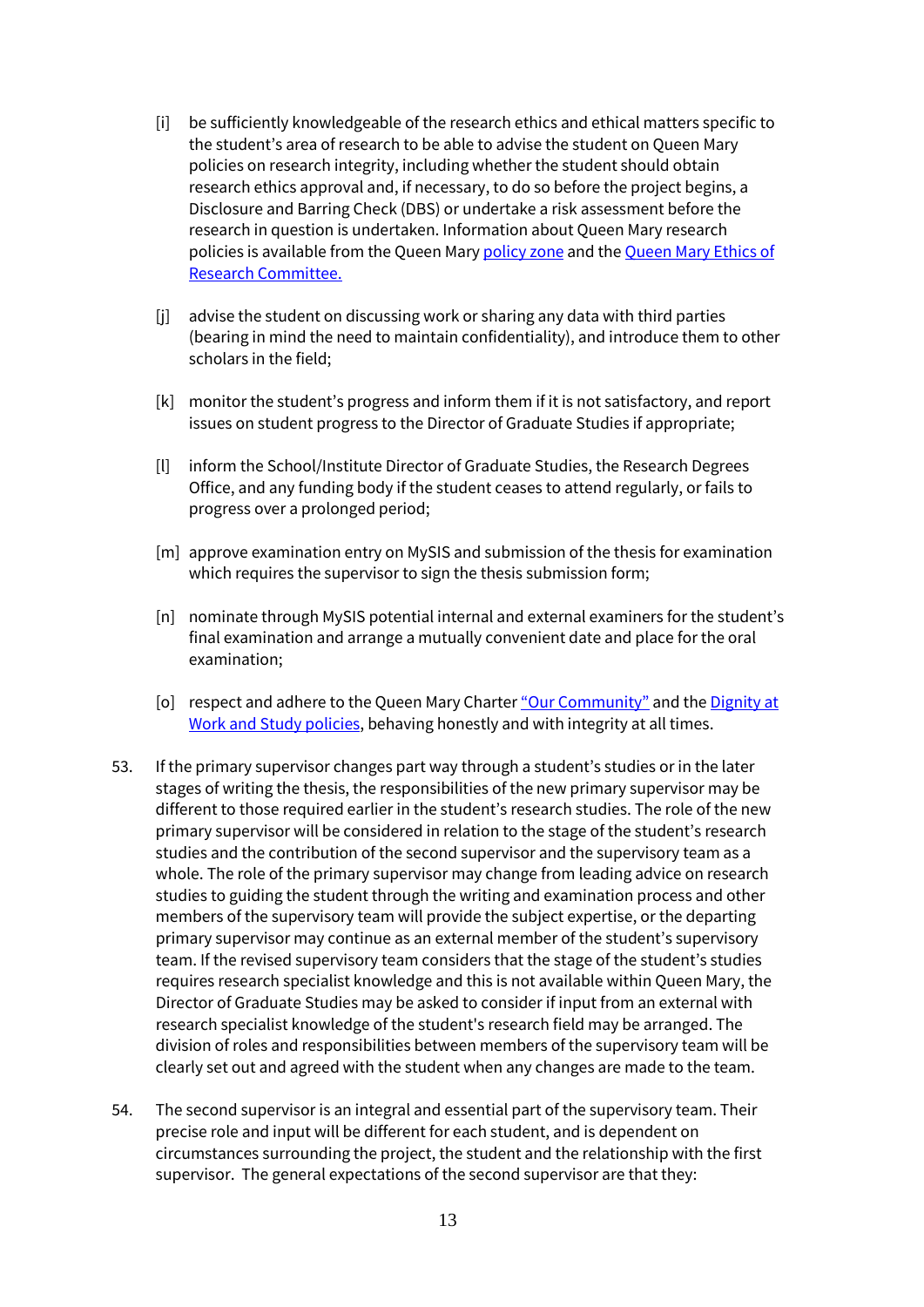- [i] be sufficiently knowledgeable of the research ethics and ethical matters specific to the student's area of research to be able to advise the student on Queen Mary policies on research integrity, including whether the student should obtain research ethics approval and, if necessary, to do so before the project begins, a Disclosure and Barring Check (DBS) or undertake a risk assessment before the research in question is undertaken. Information about Queen Mary research policies is available from the Queen Mary [policy zone](http://www.arcs.qmul.ac.uk/policy/) and the Queen Mary Ethics of [Research Committee.](http://www.jrmo.org.uk/performing-research/conducting-research-with-human-participants-outside-the-nhs/)
- [j] advise the student on discussing work or sharing any data with third parties (bearing in mind the need to maintain confidentiality), and introduce them to other scholars in the field;
- [k] monitor the student's progress and inform them if it is not satisfactory, and report issues on student progress to the Director of Graduate Studies if appropriate;
- [l] inform the School/Institute Director of Graduate Studies, the Research Degrees Office, and any funding body if the student ceases to attend regularly, or fails to progress over a prolonged period;
- [m] approve examination entry on MySIS and submission of the thesis for examination which requires the supervisor to sign the thesis submission form;
- [n] nominate through MySIS potential internal and external examiners for the student's final examination and arrange a mutually convenient date and place for the oral examination;
- [o] respect and adhere to the Queen Mary Charter ["Our Community"](https://www.qmul.ac.uk/ourcommunity/) and the Dignity at [Work and Study policies,](http://www.hr.qmul.ac.uk/procedures/policies/dignity/) behaving honestly and with integrity at all times.
- 53. If the primary supervisor changes part way through a student's studies or in the later stages of writing the thesis, the responsibilities of the new primary supervisor may be different to those required earlier in the student's research studies. The role of the new primary supervisor will be considered in relation to the stage of the student's research studies and the contribution of the second supervisor and the supervisory team as a whole. The role of the primary supervisor may change from leading advice on research studies to guiding the student through the writing and examination process and other members of the supervisory team will provide the subject expertise, or the departing primary supervisor may continue as an external member of the student's supervisory team. If the revised supervisory team considers that the stage of the student's studies requires research specialist knowledge and this is not available within Queen Mary, the Director of Graduate Studies may be asked to consider if input from an external with research specialist knowledge of the student's research field may be arranged. The division of roles and responsibilities between members of the supervisory team will be clearly set out and agreed with the student when any changes are made to the team.
- 54. The second supervisor is an integral and essential part of the supervisory team. Their precise role and input will be different for each student, and is dependent on circumstances surrounding the project, the student and the relationship with the first supervisor. The general expectations of the second supervisor are that they: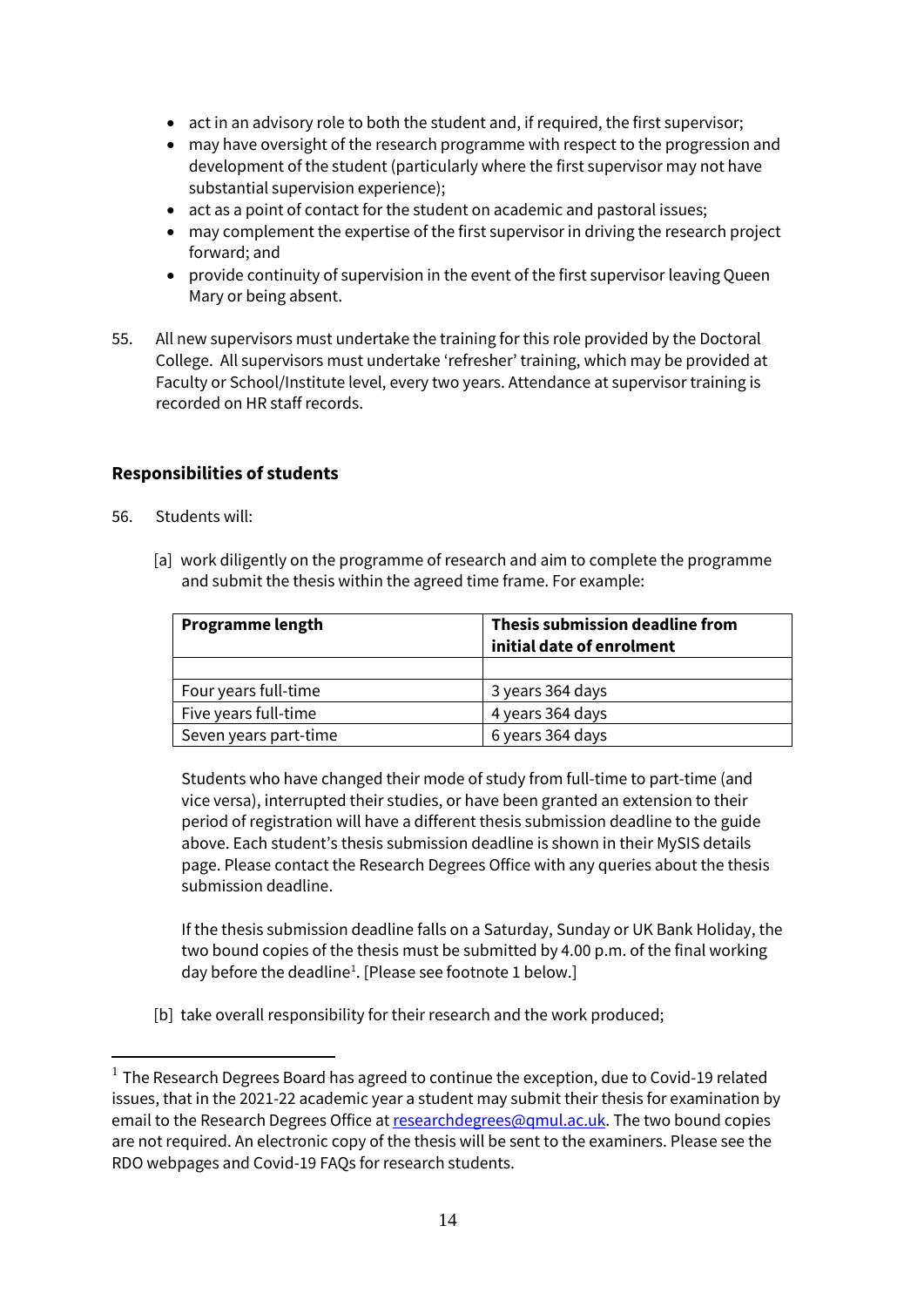- act in an advisory role to both the student and, if required, the first supervisor;
- may have oversight of the research programme with respect to the progression and development of the student (particularly where the first supervisor may not have substantial supervision experience);
- act as a point of contact for the student on academic and pastoral issues;
- may complement the expertise of the first supervisor in driving the research project forward; and
- provide continuity of supervision in the event of the first supervisor leaving Queen Mary or being absent.
- 55. All new supervisors must undertake the training for this role provided by the Doctoral College. All supervisors must undertake 'refresher' training, which may be provided at Faculty or School/Institute level, every two years. Attendance at supervisor training is recorded on HR staff records.

## **Responsibilities of students**

- 56. Students will:
	- [a] work diligently on the programme of research and aim to complete the programme and submit the thesis within the agreed time frame. For example:

| <b>Programme length</b> | Thesis submission deadline from<br>initial date of enrolment |
|-------------------------|--------------------------------------------------------------|
|                         |                                                              |
| Four years full-time    | 3 years 364 days                                             |
| Five years full-time    | 4 years 364 days                                             |
| Seven years part-time   | 6 years 364 days                                             |

Students who have changed their mode of study from full-time to part-time (and vice versa), interrupted their studies, or have been granted an extension to their period of registration will have a different thesis submission deadline to the guide above. Each student's thesis submission deadline is shown in their MySIS details page. Please contact the Research Degrees Office with any queries about the thesis submission deadline.

If the thesis submission deadline falls on a Saturday, Sunday or UK Bank Holiday, the two bound copies of the thesis must be submitted by 4.00 p.m. of the final working day before the deadline<sup>[1](#page-14-0)</sup>. [Please see footnote 1 below.]

[b] take overall responsibility for their research and the work produced;

<span id="page-14-0"></span> $1$  The Research Degrees Board has agreed to continue the exception, due to Covid-19 related issues, that in the 2021-22 academic year a student may submit their thesis for examination by email to the Research Degrees Office a[t researchdegrees@qmul.ac.uk.](mailto:researchdegrees@qmul.ac.uk) The two bound copies are not required. An electronic copy of the thesis will be sent to the examiners. Please see the RDO webpages and Covid-19 FAQs for research students.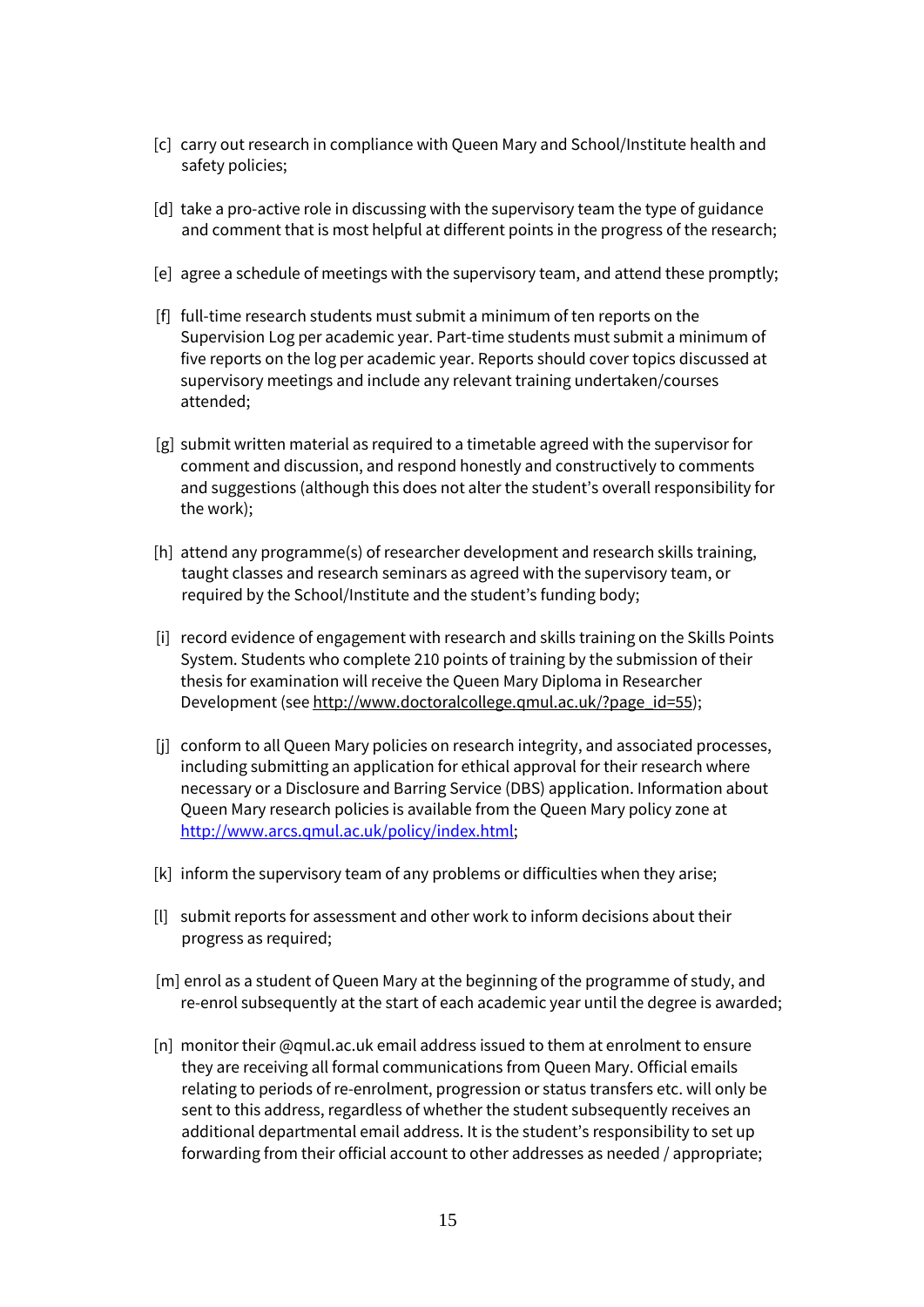- [c] carry out research in compliance with Queen Mary and School/Institute health and safety policies;
- [d] take a pro-active role in discussing with the supervisory team the type of guidance and comment that is most helpful at different points in the progress of the research;
- [e] agree a schedule of meetings with the supervisory team, and attend these promptly;
- [f] full-time research students must submit a minimum of ten reports on the Supervision Log per academic year. Part-time students must submit a minimum of five reports on the log per academic year. Reports should cover topics discussed at supervisory meetings and include any relevant training undertaken/courses attended;
- [g] submit written material as required to a timetable agreed with the supervisor for comment and discussion, and respond honestly and constructively to comments and suggestions (although this does not alter the student's overall responsibility for the work);
- [h] attend any programme(s) of researcher development and research skills training, taught classes and research seminars as agreed with the supervisory team, or required by the School/Institute and the student's funding body;
- [i] record evidence of engagement with research and skills training on the Skills Points System. Students who complete 210 points of training by the submission of their thesis for examination will receive the Queen Mary Diploma in Researcher Development (se[e http://www.doctoralcollege.qmul.ac.uk/?page\\_id=55\)](http://www.doctoralcollege.qmul.ac.uk/?page_id=55);
- [i] conform to all Queen Mary policies on research integrity, and associated processes, including submitting an application for ethical approval for their research where necessary or a Disclosure and Barring Service (DBS) application. Information about Queen Mary research policies is available from the Queen Mary policy zone at [http://www.arcs.qmul.ac.uk/policy/index.html;](http://www.arcs.qmul.ac.uk/policy/index.html)
- [k] inform the supervisory team of any problems or difficulties when they arise;
- [l] submit reports for assessment and other work to inform decisions about their progress as required;
- [m] enrol as a student of Queen Mary at the beginning of the programme of study, and re-enrol subsequently at the start of each academic year until the degree is awarded;
- [n] monitor their @qmul.ac.uk email address issued to them at enrolment to ensure they are receiving all formal communications from Queen Mary. Official emails relating to periods of re-enrolment, progression or status transfers etc. will only be sent to this address, regardless of whether the student subsequently receives an additional departmental email address. It is the student's responsibility to set up forwarding from their official account to other addresses as needed / appropriate;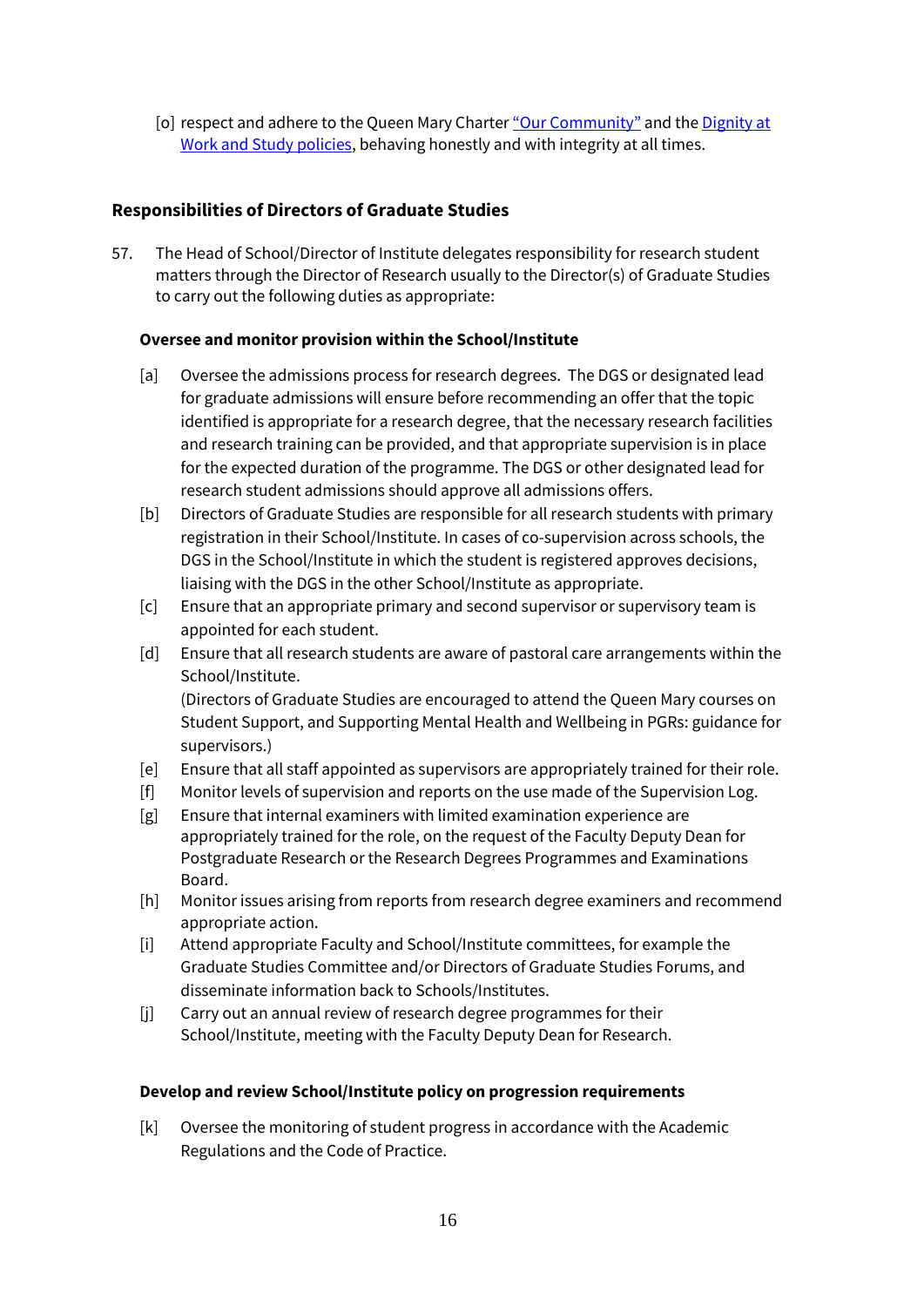[o] respect and adhere to the Queen Mary Charte[r "Our Community"](https://www.qmul.ac.uk/ourcommunity/) and the Dignity at [Work and Study policies,](http://www.hr.qmul.ac.uk/procedures/policies/dignity/) behaving honestly and with integrity at all times.

## **Responsibilities of Directors of Graduate Studies**

57. The Head of School/Director of Institute delegates responsibility for research student matters through the Director of Research usually to the Director(s) of Graduate Studies to carry out the following duties as appropriate:

#### **Oversee and monitor provision within the School/Institute**

- [a] Oversee the admissions process for research degrees. The DGS or designated lead for graduate admissions will ensure before recommending an offer that the topic identified is appropriate for a research degree, that the necessary research facilities and research training can be provided, and that appropriate supervision is in place for the expected duration of the programme. The DGS or other designated lead for research student admissions should approve all admissions offers.
- [b] Directors of Graduate Studies are responsible for all research students with primary registration in their School/Institute. In cases of co-supervision across schools, the DGS in the School/Institute in which the student is registered approves decisions, liaising with the DGS in the other School/Institute as appropriate.
- [c] Ensure that an appropriate primary and second supervisor or supervisory team is appointed for each student.
- [d] Ensure that all research students are aware of pastoral care arrangements within the School/Institute.

(Directors of Graduate Studies are encouraged to attend the Queen Mary courses on Student Support, and Supporting Mental Health and Wellbeing in PGRs: guidance for supervisors.)

- [e] Ensure that all staff appointed as supervisors are appropriately trained for their role.
- [f] Monitor levels of supervision and reports on the use made of the Supervision Log.
- [g] Ensure that internal examiners with limited examination experience are appropriately trained for the role, on the request of the Faculty Deputy Dean for Postgraduate Research or the Research Degrees Programmes and Examinations Board.
- [h] Monitor issues arising from reports from research degree examiners and recommend appropriate action.
- [i] Attend appropriate Faculty and School/Institute committees, for example the Graduate Studies Committee and/or Directors of Graduate Studies Forums, and disseminate information back to Schools/Institutes.
- [j] Carry out an annual review of research degree programmes for their School/Institute, meeting with the Faculty Deputy Dean for Research.

#### **Develop and review School/Institute policy on progression requirements**

[k] Oversee the monitoring of student progress in accordance with the Academic Regulations and the Code of Practice.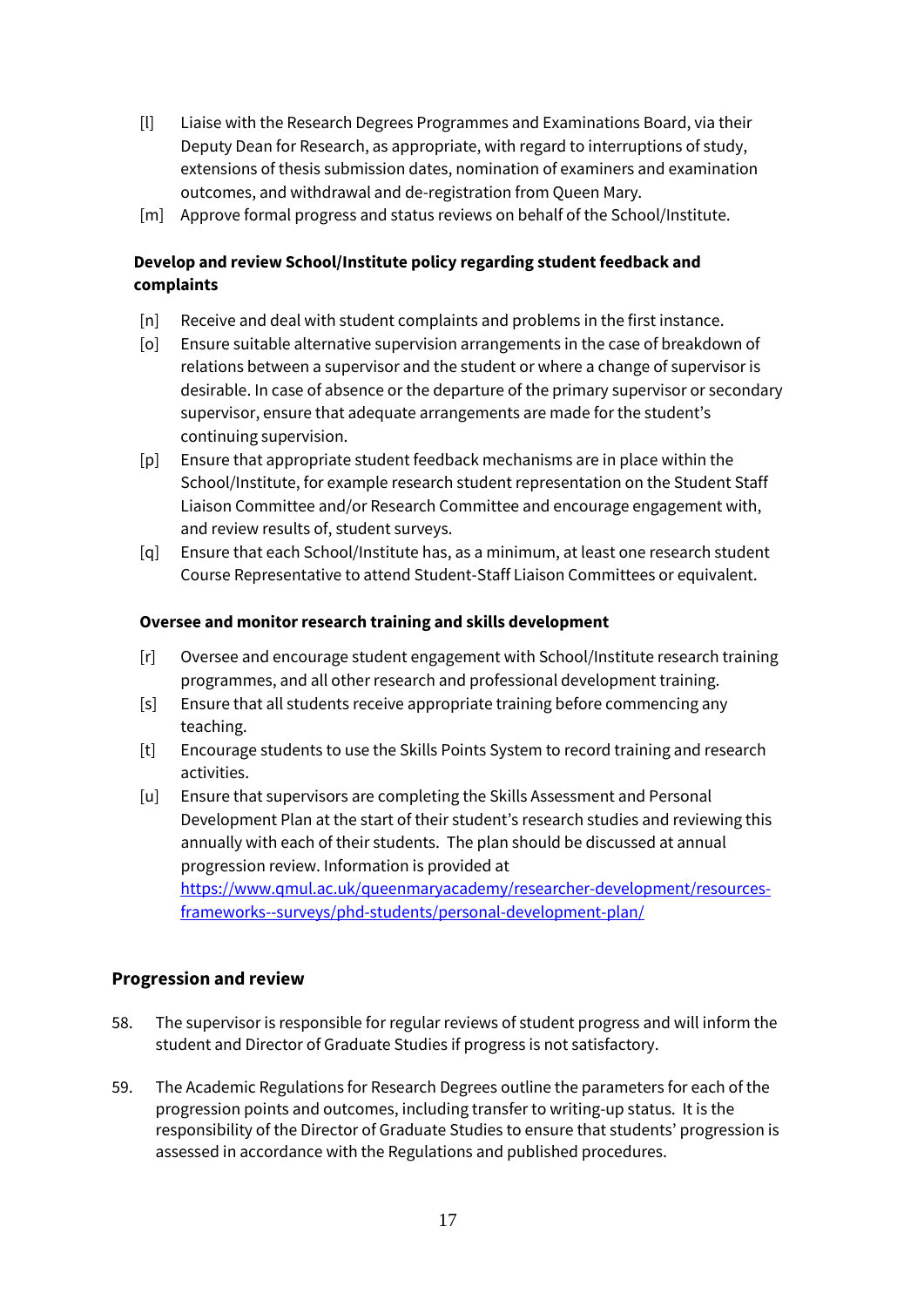- [l] Liaise with the Research Degrees Programmes and Examinations Board, via their Deputy Dean for Research, as appropriate, with regard to interruptions of study, extensions of thesis submission dates, nomination of examiners and examination outcomes, and withdrawal and de-registration from Queen Mary.
- [m] Approve formal progress and status reviews on behalf of the School/Institute.

## **Develop and review School/Institute policy regarding student feedback and complaints**

- [n] Receive and deal with student complaints and problems in the first instance.
- [o] Ensure suitable alternative supervision arrangements in the case of breakdown of relations between a supervisor and the student or where a change of supervisor is desirable. In case of absence or the departure of the primary supervisor or secondary supervisor, ensure that adequate arrangements are made for the student's continuing supervision.
- [p] Ensure that appropriate student feedback mechanisms are in place within the School/Institute, for example research student representation on the Student Staff Liaison Committee and/or Research Committee and encourage engagement with, and review results of, student surveys.
- [q] Ensure that each School/Institute has, as a minimum, at least one research student Course Representative to attend Student-Staff Liaison Committees or equivalent.

#### **Oversee and monitor research training and skills development**

- [r] Oversee and encourage student engagement with School/Institute research training programmes, and all other research and professional development training.
- [s] Ensure that all students receive appropriate training before commencing any teaching.
- [t] Encourage students to use the Skills Points System to record training and research activities.
- [u] Ensure that supervisors are completing the Skills Assessment and Personal Development Plan at the start of their student's research studies and reviewing this annually with each of their students. The plan should be discussed at annual progression review. Information is provided at [https://www.qmul.ac.uk/queenmaryacademy/researcher-development/resources](https://www.qmul.ac.uk/queenmaryacademy/researcher-development/resources-frameworks--surveys/phd-students/personal-development-plan/)[frameworks--surveys/phd-students/personal-development-plan/](https://www.qmul.ac.uk/queenmaryacademy/researcher-development/resources-frameworks--surveys/phd-students/personal-development-plan/)

## **Progression and review**

- 58. The supervisor is responsible for regular reviews of student progress and will inform the student and Director of Graduate Studies if progress is not satisfactory.
- 59. The Academic Regulations for Research Degrees outline the parameters for each of the progression points and outcomes, including transfer to writing-up status. It is the responsibility of the Director of Graduate Studies to ensure that students' progression is assessed in accordance with the Regulations and published procedures.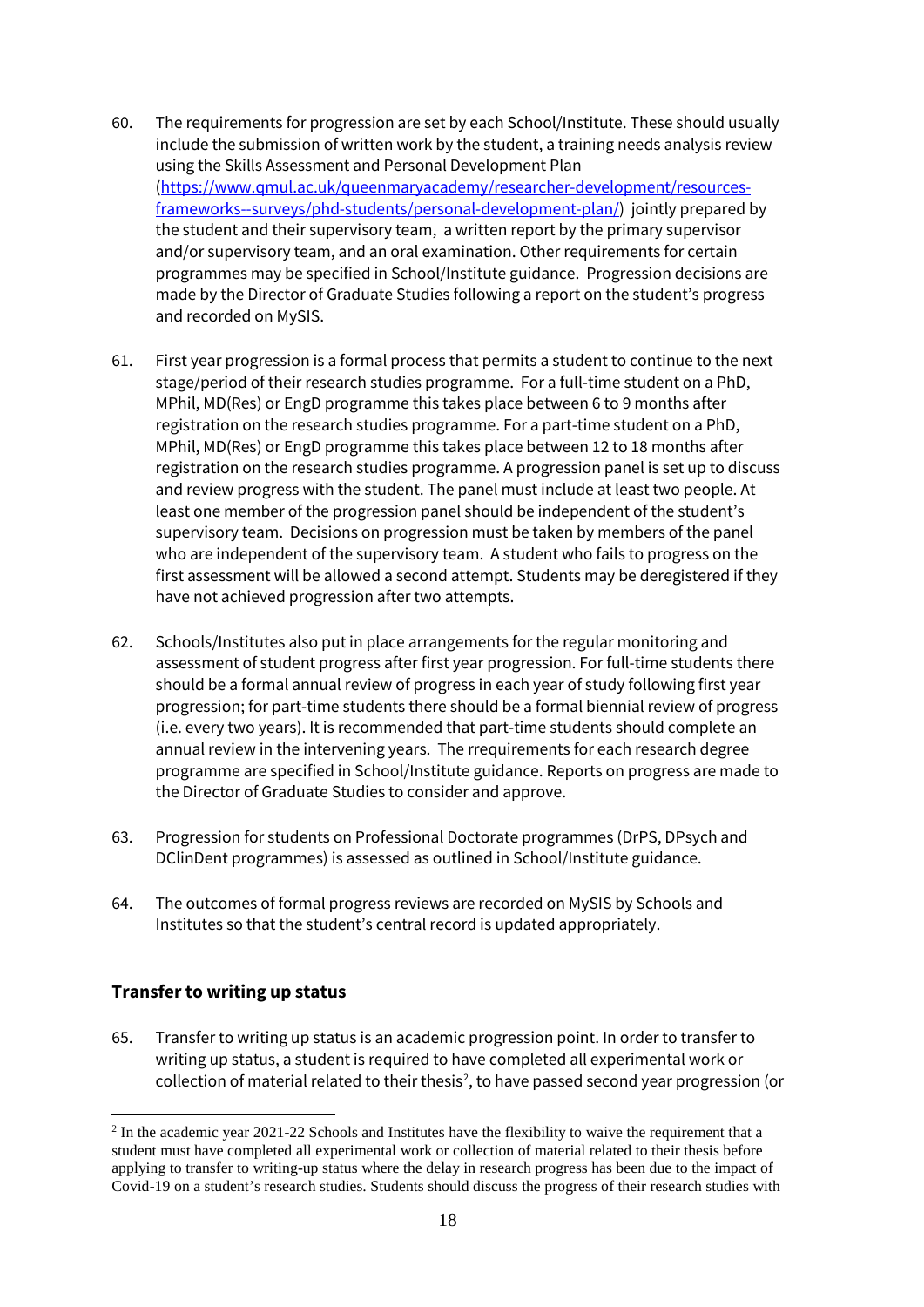- 60. The requirements for progression are set by each School/Institute. These should usually include the submission of written work by the student, a training needs analysis review using the Skills Assessment and Personal Development Plan [\(https://www.qmul.ac.uk/queenmaryacademy/researcher-development/resources](https://www.qmul.ac.uk/queenmaryacademy/researcher-development/resources-frameworks--surveys/phd-students/personal-development-plan/)[frameworks--surveys/phd-students/personal-development-plan/\)](https://www.qmul.ac.uk/queenmaryacademy/researcher-development/resources-frameworks--surveys/phd-students/personal-development-plan/) jointly prepared by the student and their supervisory team, a written report by the primary supervisor and/or supervisory team, and an oral examination. Other requirements for certain programmes may be specified in School/Institute guidance. Progression decisions are made by the Director of Graduate Studies following a report on the student's progress and recorded on MySIS.
- 61. First year progression is a formal process that permits a student to continue to the next stage/period of their research studies programme. For a full-time student on a PhD, MPhil, MD(Res) or EngD programme this takes place between 6 to 9 months after registration on the research studies programme. For a part-time student on a PhD, MPhil, MD(Res) or EngD programme this takes place between 12 to 18 months after registration on the research studies programme. A progression panel is set up to discuss and review progress with the student. The panel must include at least two people. At least one member of the progression panel should be independent of the student's supervisory team. Decisions on progression must be taken by members of the panel who are independent of the supervisory team. A student who fails to progress on the first assessment will be allowed a second attempt. Students may be deregistered if they have not achieved progression after two attempts.
- 62. Schools/Institutes also put in place arrangements for the regular monitoring and assessment of student progress after first year progression. For full-time students there should be a formal annual review of progress in each year of study following first year progression; for part-time students there should be a formal biennial review of progress (i.e. every two years). It is recommended that part-time students should complete an annual review in the intervening years. The rrequirements for each research degree programme are specified in School/Institute guidance. Reports on progress are made to the Director of Graduate Studies to consider and approve.
- 63. Progression for students on Professional Doctorate programmes (DrPS, DPsych and DClinDent programmes) is assessed as outlined in School/Institute guidance.
- 64. The outcomes of formal progress reviews are recorded on MySIS by Schools and Institutes so that the student's central record is updated appropriately.

## **Transfer to writing up status**

65. Transfer to writing up status is an academic progression point. In order to transfer to writing up status, a student is required to have completed all experimental work or collection of material related to their thesis<sup>[2](#page-18-0)</sup>, to have passed second year progression (or

<span id="page-18-0"></span><sup>&</sup>lt;sup>2</sup> In the academic year 2021-22 Schools and Institutes have the flexibility to waive the requirement that a student must have completed all experimental work or collection of material related to their thesis before applying to transfer to writing-up status where the delay in research progress has been due to the impact of Covid-19 on a student's research studies. Students should discuss the progress of their research studies with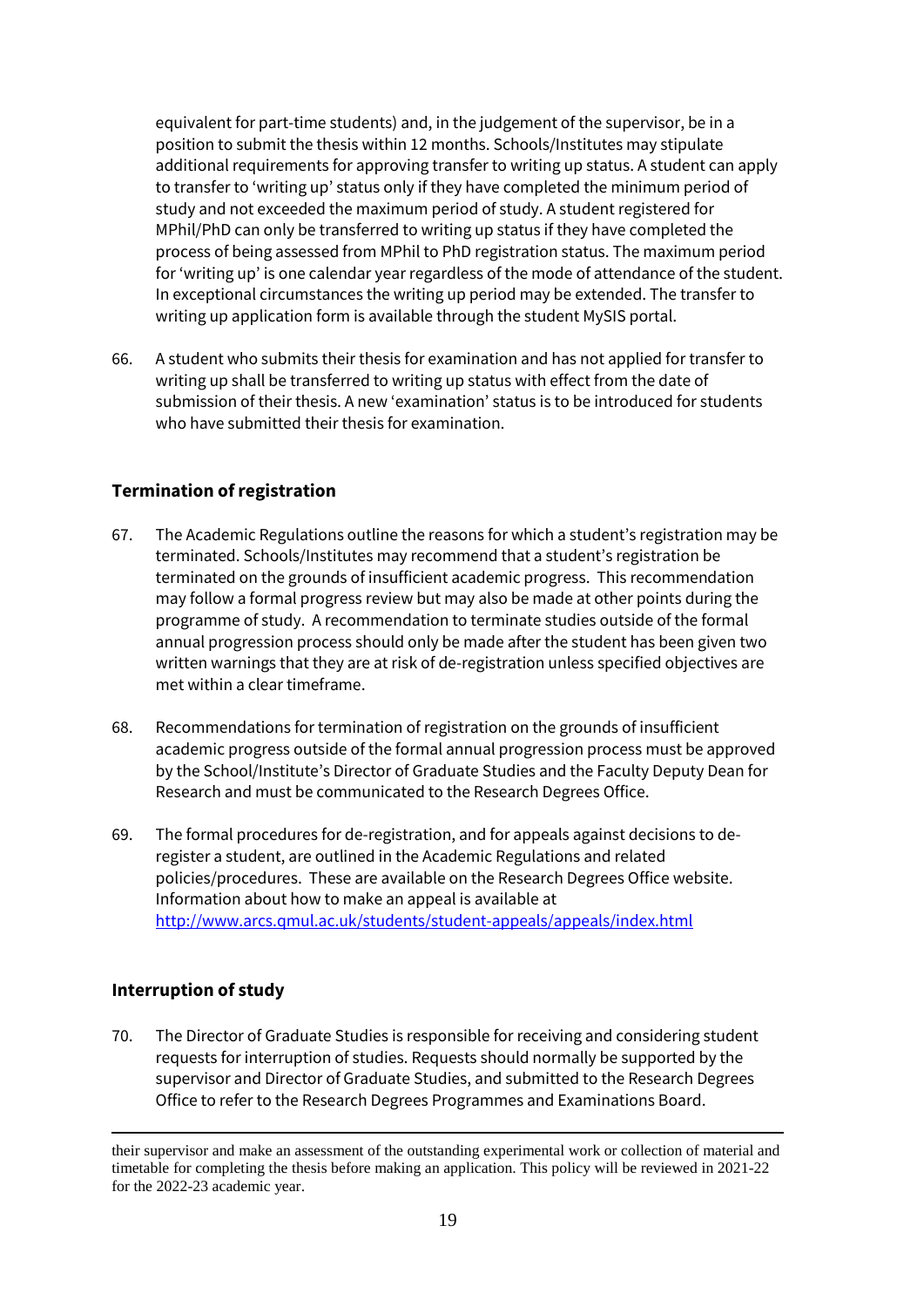equivalent for part-time students) and, in the judgement of the supervisor, be in a position to submit the thesis within 12 months. Schools/Institutes may stipulate additional requirements for approving transfer to writing up status. A student can apply to transfer to 'writing up' status only if they have completed the minimum period of study and not exceeded the maximum period of study. A student registered for MPhil/PhD can only be transferred to writing up status if they have completed the process of being assessed from MPhil to PhD registration status. The maximum period for 'writing up' is one calendar year regardless of the mode of attendance of the student. In exceptional circumstances the writing up period may be extended. The transfer to writing up application form is available through the student MySIS portal.

66. A student who submits their thesis for examination and has not applied for transfer to writing up shall be transferred to writing up status with effect from the date of submission of their thesis. A new 'examination' status is to be introduced for students who have submitted their thesis for examination.

## **Termination of registration**

- 67. The Academic Regulations outline the reasons for which a student's registration may be terminated. Schools/Institutes may recommend that a student's registration be terminated on the grounds of insufficient academic progress. This recommendation may follow a formal progress review but may also be made at other points during the programme of study. A recommendation to terminate studies outside of the formal annual progression process should only be made after the student has been given two written warnings that they are at risk of de-registration unless specified objectives are met within a clear timeframe.
- 68. Recommendations for termination of registration on the grounds of insufficient academic progress outside of the formal annual progression process must be approved by the School/Institute's Director of Graduate Studies and the Faculty Deputy Dean for Research and must be communicated to the Research Degrees Office.
- 69. The formal procedures for de-registration, and for appeals against decisions to deregister a student, are outlined in the Academic Regulations and related policies/procedures. These are available on the Research Degrees Office website. Information about how to make an appeal is available at <http://www.arcs.qmul.ac.uk/students/student-appeals/appeals/index.html>

## **Interruption of study**

70. The Director of Graduate Studies is responsible for receiving and considering student requests for interruption of studies. Requests should normally be supported by the supervisor and Director of Graduate Studies, and submitted to the Research Degrees Office to refer to the Research Degrees Programmes and Examinations Board.

their supervisor and make an assessment of the outstanding experimental work or collection of material and timetable for completing the thesis before making an application. This policy will be reviewed in 2021-22 for the 2022-23 academic year.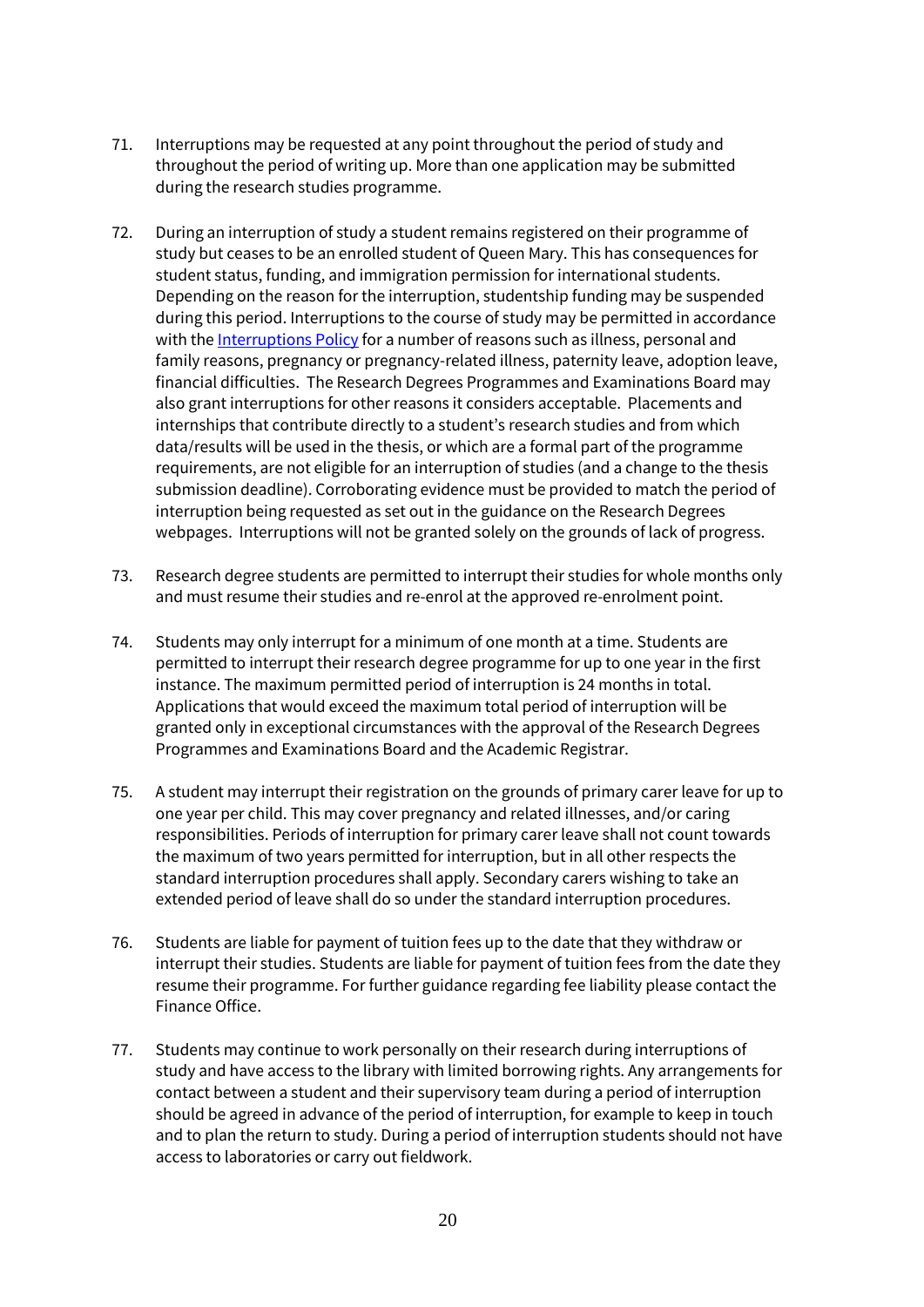- 71. Interruptions may be requested at any point throughout the period of study and throughout the period of writing up. More than one application may be submitted during the research studies programme.
- 72. During an interruption of study a student remains registered on their programme of study but ceases to be an enrolled student of Queen Mary. This has consequences for student status, funding, and immigration permission for international students. Depending on the reason for the interruption, studentship funding may be suspended during this period. Interruptions to the course of study may be permitted in accordance with th[e Interruptions Policy](http://www.arcs.qmul.ac.uk/policy/) for a number of reasons such as illness, personal and family reasons, pregnancy or pregnancy-related illness, paternity leave, adoption leave, financial difficulties. The Research Degrees Programmes and Examinations Board may also grant interruptions for other reasons it considers acceptable. Placements and internships that contribute directly to a student's research studies and from which data/results will be used in the thesis, or which are a formal part of the programme requirements, are not eligible for an interruption of studies (and a change to the thesis submission deadline). Corroborating evidence must be provided to match the period of interruption being requested as set out in the guidance on the Research Degrees webpages. Interruptions will not be granted solely on the grounds of lack of progress.
- 73. Research degree students are permitted to interrupt their studies for whole months only and must resume their studies and re-enrol at the approved re-enrolment point.
- 74. Students may only interrupt for a minimum of one month at a time. Students are permitted to interrupt their research degree programme for up to one year in the first instance. The maximum permitted period of interruption is 24 months in total. Applications that would exceed the maximum total period of interruption will be granted only in exceptional circumstances with the approval of the Research Degrees Programmes and Examinations Board and the Academic Registrar.
- 75. A student may interrupt their registration on the grounds of primary carer leave for up to one year per child. This may cover pregnancy and related illnesses, and/or caring responsibilities. Periods of interruption for primary carer leave shall not count towards the maximum of two years permitted for interruption, but in all other respects the standard interruption procedures shall apply. Secondary carers wishing to take an extended period of leave shall do so under the standard interruption procedures.
- 76. Students are liable for payment of tuition fees up to the date that they withdraw or interrupt their studies. Students are liable for payment of tuition fees from the date they resume their programme. For further guidance regarding fee liability please contact the Finance Office.
- 77. Students may continue to work personally on their research during interruptions of study and have access to the library with limited borrowing rights. Any arrangements for contact between a student and their supervisory team during a period of interruption should be agreed in advance of the period of interruption, for example to keep in touch and to plan the return to study. During a period of interruption students should not have access to laboratories or carry out fieldwork.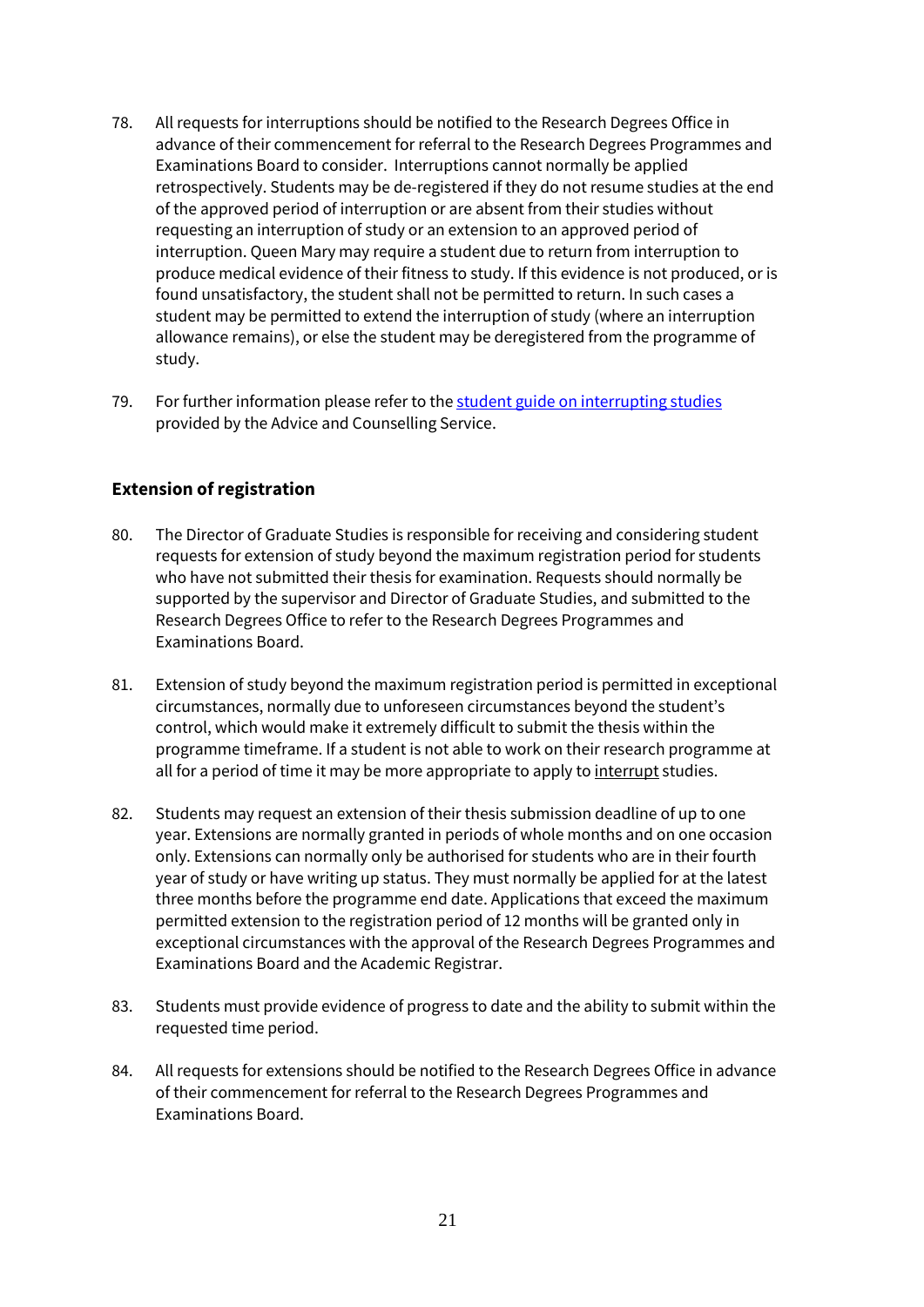- 78. All requests for interruptions should be notified to the Research Degrees Office in advance of their commencement for referral to the Research Degrees Programmes and Examinations Board to consider. Interruptions cannot normally be applied retrospectively. Students may be de-registered if they do not resume studies at the end of the approved period of interruption or are absent from their studies without requesting an interruption of study or an extension to an approved period of interruption. Queen Mary may require a student due to return from interruption to produce medical evidence of their fitness to study. If this evidence is not produced, or is found unsatisfactory, the student shall not be permitted to return. In such cases a student may be permitted to extend the interruption of study (where an interruption allowance remains), or else the student may be deregistered from the programme of study.
- 79. For further information please refer to th[e student guide on interrupting studies](https://www.welfare.qmul.ac.uk/student-advice-guides/) provided by the Advice and Counselling Service.

## **Extension of registration**

- 80. The Director of Graduate Studies is responsible for receiving and considering student requests for extension of study beyond the maximum registration period for students who have not submitted their thesis for examination. Requests should normally be supported by the supervisor and Director of Graduate Studies, and submitted to the Research Degrees Office to refer to the Research Degrees Programmes and Examinations Board.
- 81. Extension of study beyond the maximum registration period is permitted in exceptional circumstances, normally due to unforeseen circumstances beyond the student's control, which would make it extremely difficult to submit the thesis within the programme timeframe. If a student is not able to work on their research programme at all for a period of time it may be more appropriate to apply t[o interrupt](http://www.arcs.qmul.ac.uk/research-degrees/research-degree-students/interrupt/index.html) studies.
- 82. Students may request an extension of their thesis submission deadline of up to one year. Extensions are normally granted in periods of whole months and on one occasion only. Extensions can normally only be authorised for students who are in their fourth year of study or have writing up status. They must normally be applied for at the latest three months before the programme end date. Applications that exceed the maximum permitted extension to the registration period of 12 months will be granted only in exceptional circumstances with the approval of the Research Degrees Programmes and Examinations Board and the Academic Registrar.
- 83. Students must provide evidence of progress to date and the ability to submit within the requested time period.
- 84. All requests for extensions should be notified to the Research Degrees Office in advance of their commencement for referral to the Research Degrees Programmes and Examinations Board.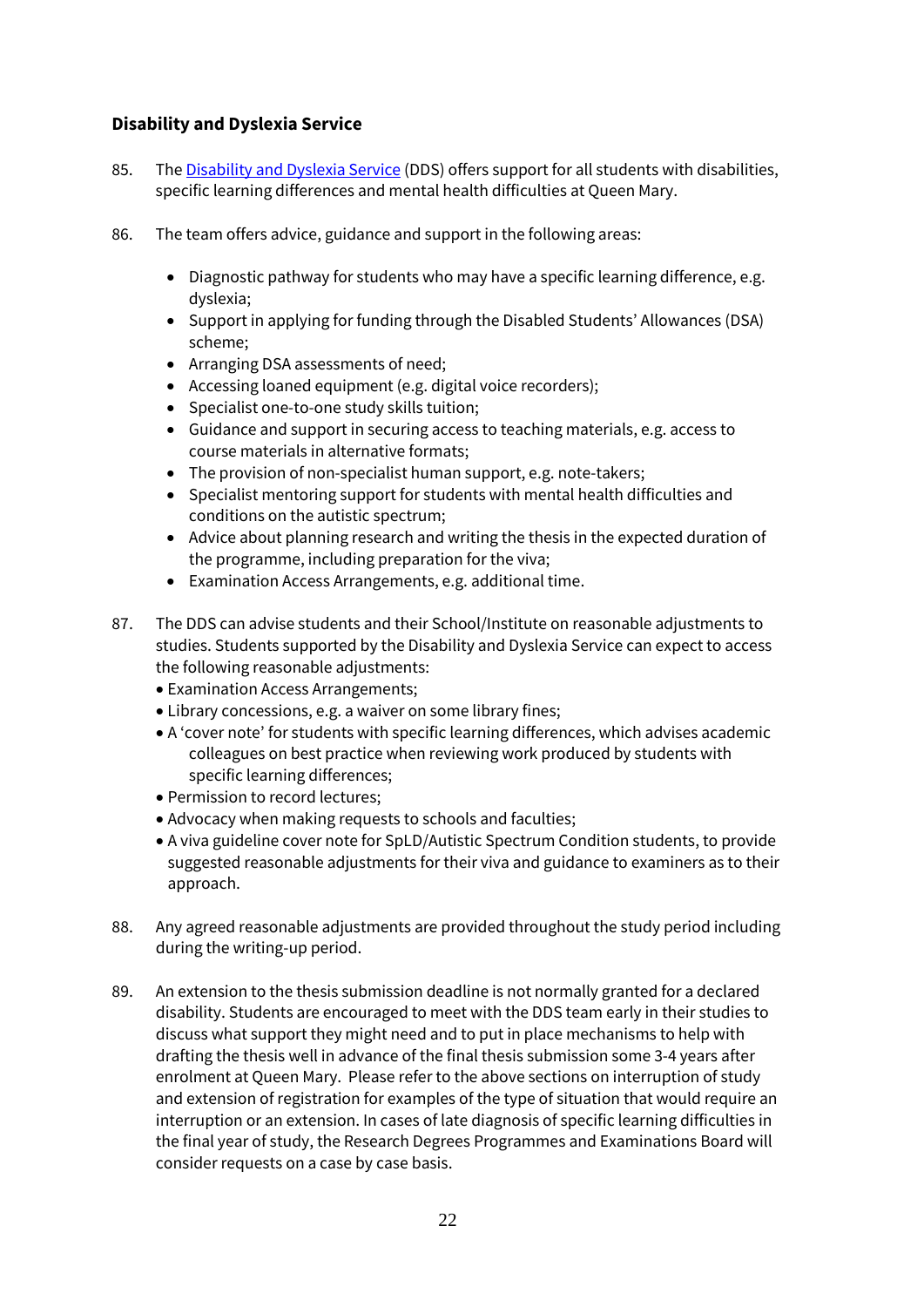## **Disability and Dyslexia Service**

- 85. The [Disability and Dyslexia Service](http://www.dds.qmul.ac.uk/index.html) (DDS) offers support for all students with disabilities, specific learning differences and mental health difficulties at Queen Mary.
- 86. The team offers advice, guidance and support in the following areas:
	- Diagnostic pathway for students who may have a specific learning difference, e.g. dyslexia;
	- Support in applying for funding through the Disabled Students' Allowances (DSA) scheme;
	- Arranging DSA assessments of need;
	- Accessing loaned equipment (e.g. digital voice recorders);
	- Specialist one-to-one study skills tuition;
	- Guidance and support in securing access to teaching materials, e.g. access to course materials in alternative formats;
	- The provision of non-specialist human support, e.g. note-takers;
	- Specialist mentoring support for students with mental health difficulties and conditions on the autistic spectrum;
	- Advice about planning research and writing the thesis in the expected duration of the programme, including preparation for the viva;
	- Examination Access Arrangements, e.g. additional time.
- 87. The DDS can advise students and their School/Institute on reasonable adjustments to studies. Students supported by the Disability and Dyslexia Service can expect to access the following reasonable adjustments:
	- Examination Access Arrangements;
	- Library concessions, e.g. a waiver on some library fines;
	- A 'cover note' for students with specific learning differences, which advises academic colleagues on best practice when reviewing work produced by students with specific learning differences;
	- Permission to record lectures;
	- Advocacy when making requests to schools and faculties;
	- A viva guideline cover note for SpLD/Autistic Spectrum Condition students, to provide suggested reasonable adjustments for their viva and guidance to examiners as to their approach.
- 88. Any agreed reasonable adjustments are provided throughout the study period including during the writing-up period.
- 89. An extension to the thesis submission deadline is not normally granted for a declared disability. Students are encouraged to meet with the DDS team early in their studies to discuss what support they might need and to put in place mechanisms to help with drafting the thesis well in advance of the final thesis submission some 3-4 years after enrolment at Queen Mary. Please refer to the above sections on interruption of study and extension of registration for examples of the type of situation that would require an interruption or an extension. In cases of late diagnosis of specific learning difficulties in the final year of study, the Research Degrees Programmes and Examinations Board will consider requests on a case by case basis.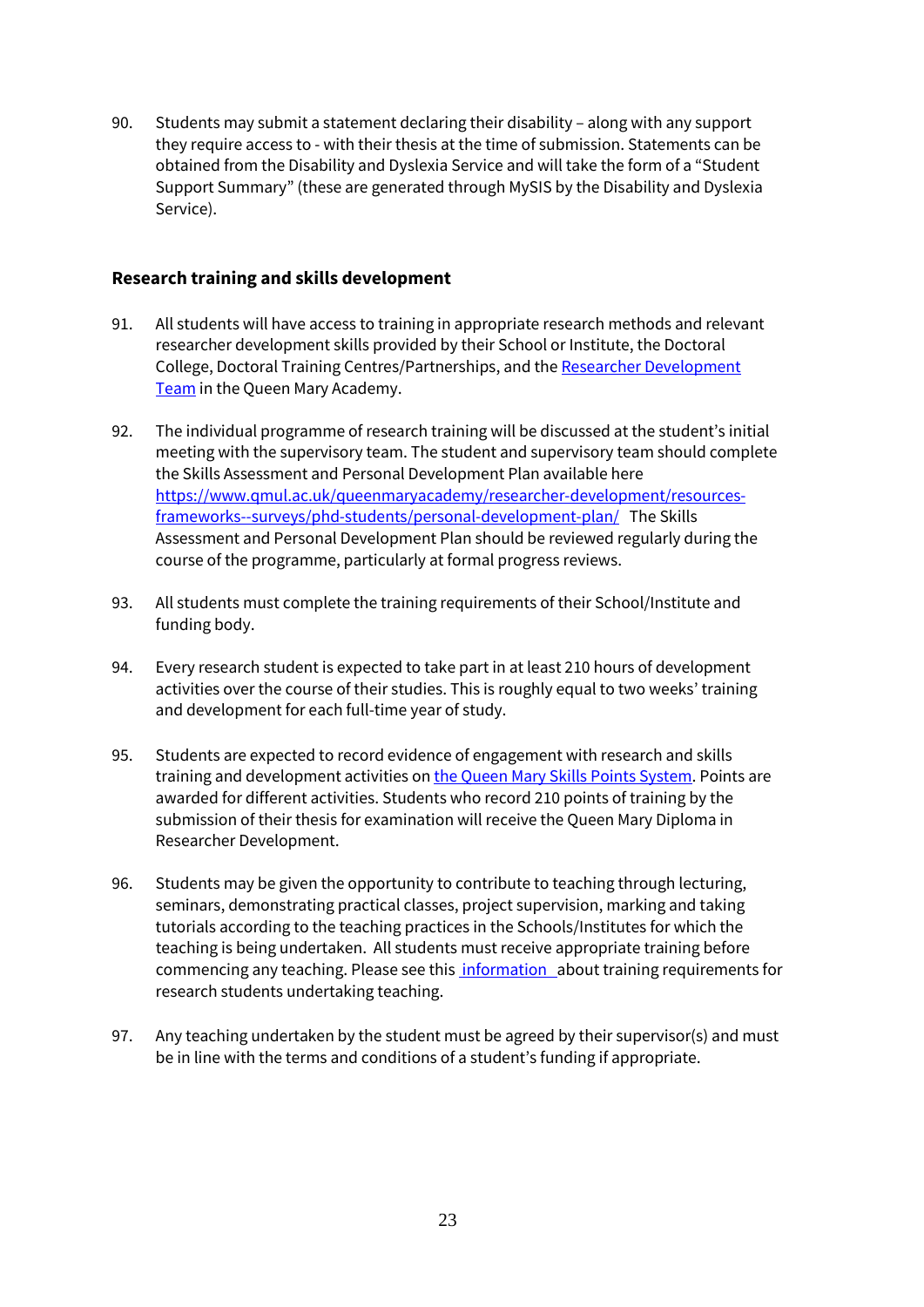90. Students may submit a statement declaring their disability – along with any support they require access to - with their thesis at the time of submission. Statements can be obtained from the Disability and Dyslexia Service and will take the form of a "Student Support Summary" (these are generated through MySIS by the Disability and Dyslexia Service).

#### **Research training and skills development**

- 91. All students will have access to training in appropriate research methods and relevant researcher development skills provided by their School or Institute, the Doctoral College, Doctoral Training Centres/Partnerships, and the [Researcher Development](https://www.qmul.ac.uk/queenmaryacademy/researcher-development/)  [Team](https://www.qmul.ac.uk/queenmaryacademy/researcher-development/) in the Queen Mary Academy.
- 92. The individual programme of research training will be discussed at the student's initial meeting with the supervisory team. The student and supervisory team should complete the Skills Assessment and Personal Development Plan available here [https://www.qmul.ac.uk/queenmaryacademy/researcher-development/resources](https://www.qmul.ac.uk/queenmaryacademy/researcher-development/resources-frameworks--surveys/phd-students/personal-development-plan/)[frameworks--surveys/phd-students/personal-development-plan/](https://www.qmul.ac.uk/queenmaryacademy/researcher-development/resources-frameworks--surveys/phd-students/personal-development-plan/) The Skills Assessment and Personal Development Plan should be reviewed regularly during the course of the programme, particularly at formal progress reviews.
- 93. All students must complete the training requirements of their School/Institute and funding body.
- 94. Every research student is expected to take part in at least 210 hours of development activities over the course of their studies. This is roughly equal to two weeks' training and development for each full-time year of study.
- 95. Students are expected to record evidence of engagement with research and skills training and development activities on the Queen Mary [Skills Points System.](https://academicdevelopment.qmul.ac.uk/researcher-development/postgraduate-research-students/) Points are awarded for different activities. Students who record 210 points of training by the submission of their thesis for examination will receive the Queen Mary Diploma in Researcher Development.
- 96. Students may be given the opportunity to contribute to teaching through lecturing, seminars, demonstrating practical classes, project supervision, marking and taking tutorials according to the teaching practices in the Schools/Institutes for which the teaching is being undertaken. All students must receive appropriate training before commencing any teaching. Please see this [information a](https://www.qmul.ac.uk/queenmaryacademy/education-and-learning/taught-programmes/phd-students-who-teach/)bout training requirements for research students undertaking teaching.
- 97. Any teaching undertaken by the student must be agreed by their supervisor(s) and must be in line with the terms and conditions of a student's funding if appropriate.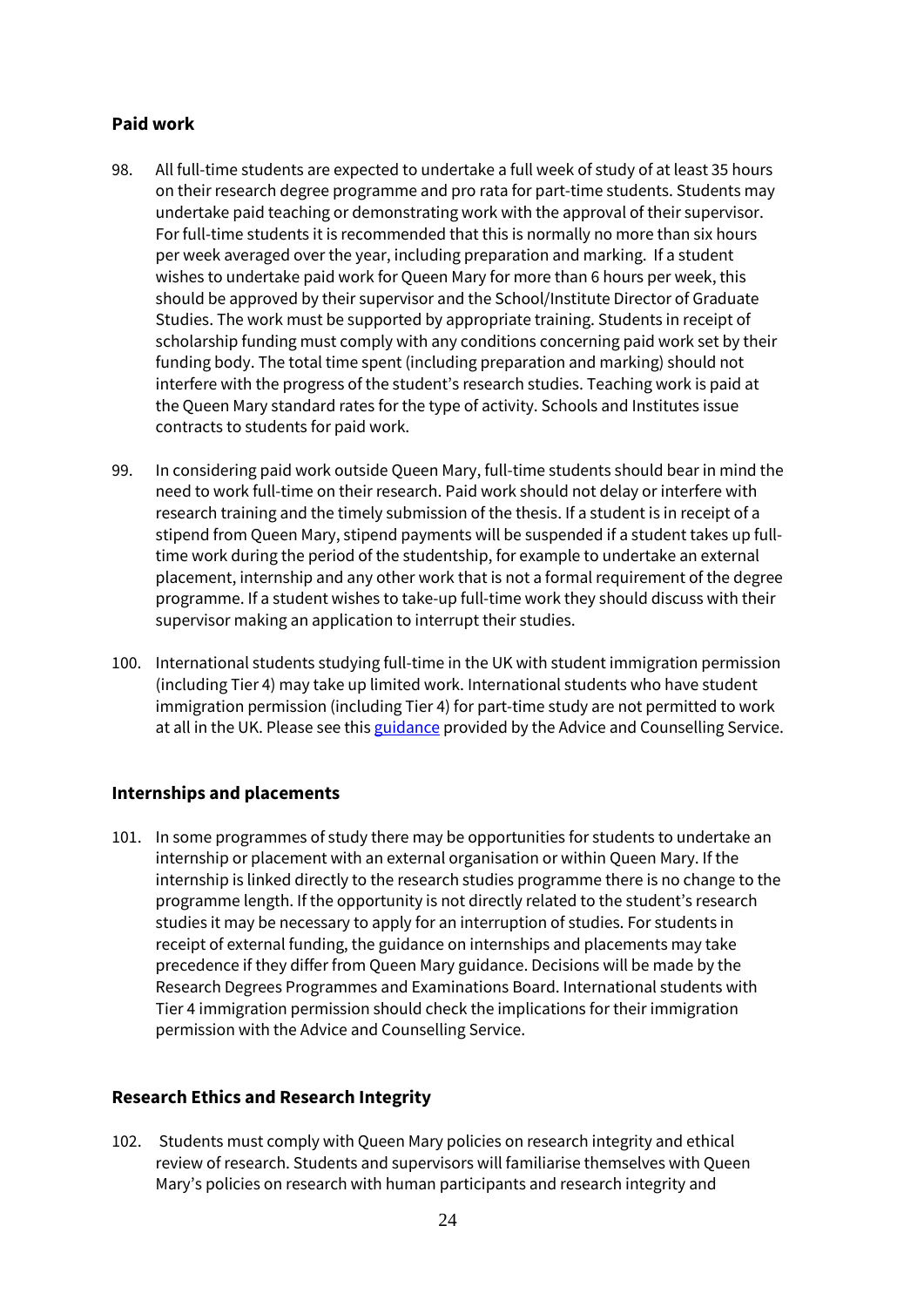## **Paid work**

- 98. All full-time students are expected to undertake a full week of study of at least 35 hours on their research degree programme and pro rata for part-time students. Students may undertake paid teaching or demonstrating work with the approval of their supervisor. For full-time students it is recommended that this is normally no more than six hours per week averaged over the year, including preparation and marking. If a student wishes to undertake paid work for Queen Mary for more than 6 hours per week, this should be approved by their supervisor and the School/Institute Director of Graduate Studies. The work must be supported by appropriate training. Students in receipt of scholarship funding must comply with any conditions concerning paid work set by their funding body. The total time spent (including preparation and marking) should not interfere with the progress of the student's research studies. Teaching work is paid at the Queen Mary standard rates for the type of activity. Schools and Institutes issue contracts to students for paid work.
- 99. In considering paid work outside Queen Mary, full-time students should bear in mind the need to work full-time on their research. Paid work should not delay or interfere with research training and the timely submission of the thesis. If a student is in receipt of a stipend from Queen Mary, stipend payments will be suspended if a student takes up fulltime work during the period of the studentship, for example to undertake an external placement, internship and any other work that is not a formal requirement of the degree programme. If a student wishes to take-up full-time work they should discuss with their supervisor making an application to interrupt their studies.
- 100. International students studying full-time in the UK with student immigration permission (including Tier 4) may take up limited work. International students who have student immigration permission (including Tier 4) for part-time study are not permitted to work at all in the UK. Please see this [guidance](https://www.welfare.qmul.ac.uk/guides/international-non-eea-or-swiss-students-rules-about-working/) provided by the Advice and Counselling Service.

## **Internships and placements**

101. In some programmes of study there may be opportunities for students to undertake an internship or placement with an external organisation or within Queen Mary. If the internship is linked directly to the research studies programme there is no change to the programme length. If the opportunity is not directly related to the student's research studies it may be necessary to apply for an interruption of studies. For students in receipt of external funding, the guidance on internships and placements may take precedence if they differ from Queen Mary guidance. Decisions will be made by the Research Degrees Programmes and Examinations Board. International students with Tier 4 immigration permission should check the implications for their immigration permission with the Advice and Counselling Service.

#### **Research Ethics and Research Integrity**

102. Students must comply with Queen Mary policies on research integrity and ethical review of research. Students and supervisors will familiarise themselves with Queen Mary's policies on research with human participants and research integrity and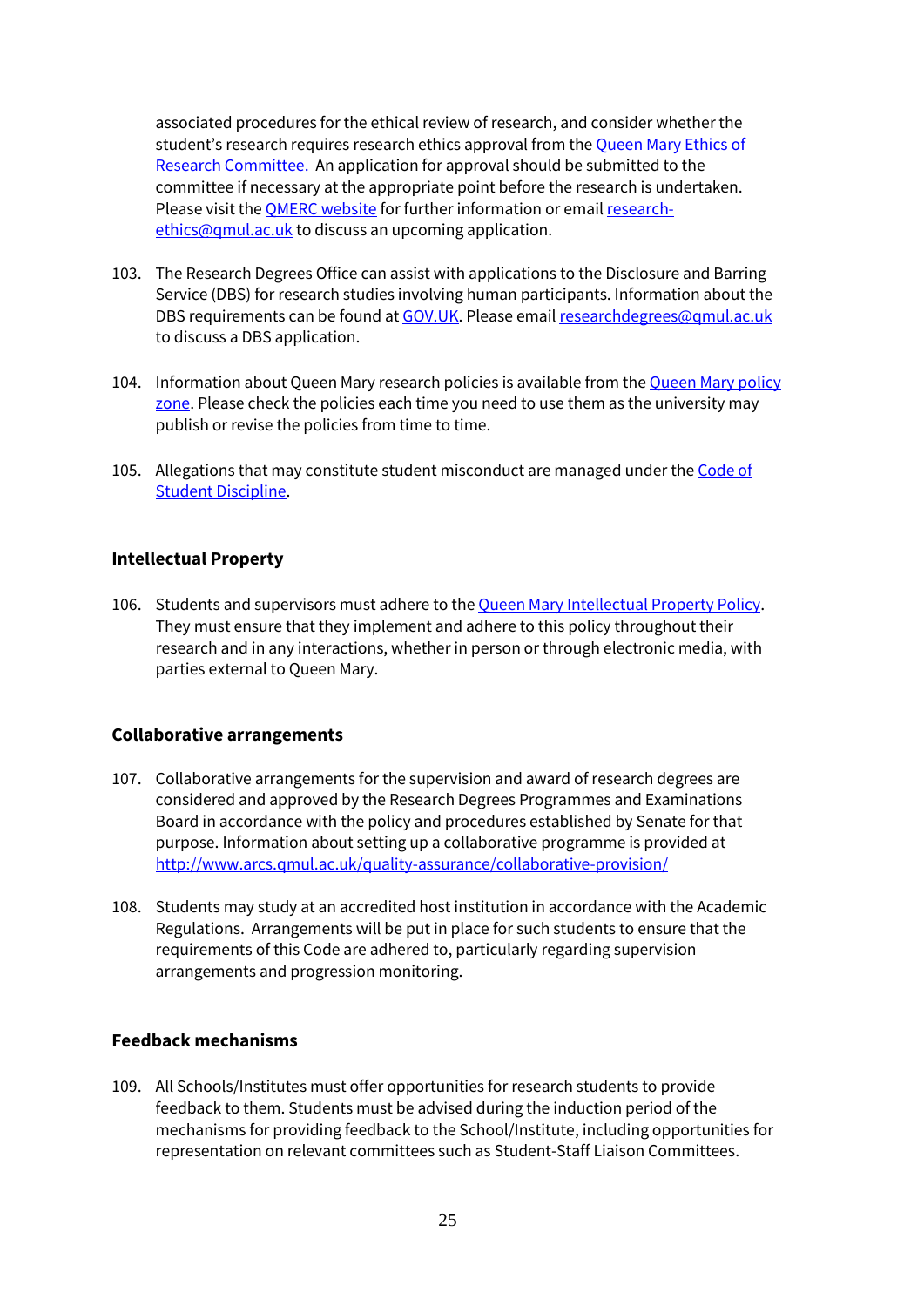associated procedures for the ethical review of research, and consider whether the student's research requires research ethics approval from the **Queen Mary Ethics of** [Research Committee.](http://www.jrmo.org.uk/performing-research/conducting-research-with-human-participants-outside-the-nhs/) An application for approval should be submitted to the committee if necessary at the appropriate point before the research is undertaken. Please visit the [QMERC website](mailto:QMERC%20website) for further information or emai[l research](mailto:research-ethics@qmul.ac.uk)[ethics@qmul.ac.uk](mailto:research-ethics@qmul.ac.uk) to discuss an upcoming application.

- 103. The Research Degrees Office can assist with applications to the Disclosure and Barring Service (DBS) for research studies involving human participants. Information about the DBS requirements can be found at [GOV.UK.](https://www.gov.uk/disclosure-barring-service-check) Please emai[l researchdegrees@qmul.ac.uk](mailto:researchdegrees@qmul.ac.uk) to discuss a DBS application.
- 104. Information about Queen Mary research policies is available from th[e Queen Mary](http://www.arcs.qmul.ac.uk/policy/) policy [zone.](http://www.arcs.qmul.ac.uk/policy/) Please check the policies each time you need to use them as the university may publish or revise the policies from time to time.
- 105. Allegations that may constitute student misconduct are managed under the [Code of](http://www.arcs.qmul.ac.uk/students/student-appeals/)  [Student Discipline.](http://www.arcs.qmul.ac.uk/students/student-appeals/)

#### **Intellectual Property**

106. Students and supervisors must adhere to the Queen Mary [Intellectual Property Policy.](http://www.arcs.qmul.ac.uk/policy/) They must ensure that they implement and adhere to this policy throughout their research and in any interactions, whether in person or through electronic media, with parties external to Queen Mary.

#### **Collaborative arrangements**

- 107. Collaborative arrangements for the supervision and award of research degrees are considered and approved by the Research Degrees Programmes and Examinations Board in accordance with the policy and procedures established by Senate for that purpose. Information about setting up a collaborative programme is provided at <http://www.arcs.qmul.ac.uk/quality-assurance/collaborative-provision/>
- 108. Students may study at an accredited host institution in accordance with the Academic Regulations. Arrangements will be put in place for such students to ensure that the requirements of this Code are adhered to, particularly regarding supervision arrangements and progression monitoring.

#### **Feedback mechanisms**

109. All Schools/Institutes must offer opportunities for research students to provide feedback to them. Students must be advised during the induction period of the mechanisms for providing feedback to the School/Institute, including opportunities for representation on relevant committees such as Student-Staff Liaison Committees.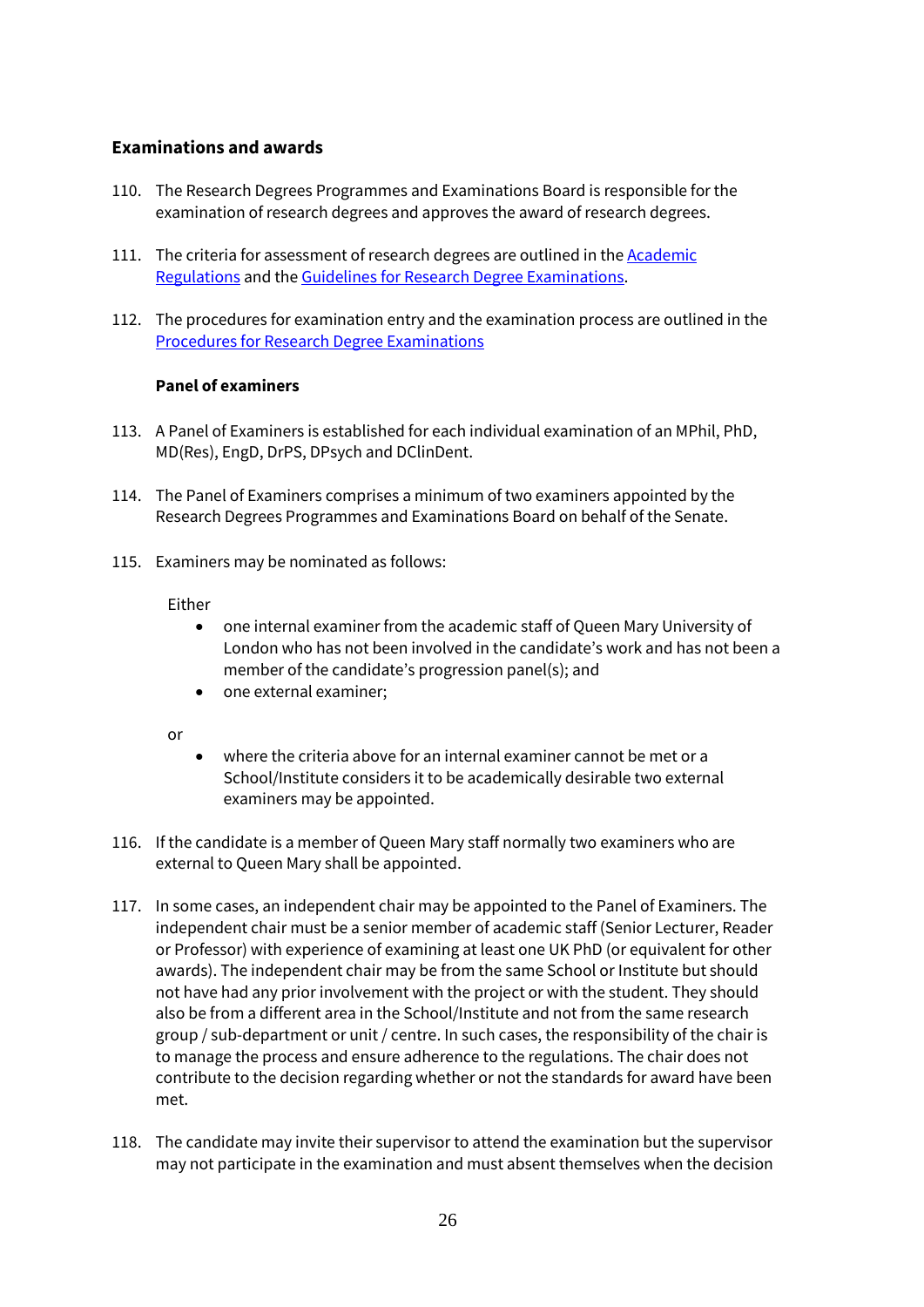#### **Examinations and awards**

- 110. The Research Degrees Programmes and Examinations Board is responsible for the examination of research degrees and approves the award of research degrees.
- 111. The criteria for assessment of research degrees are outlined in th[e Academic](http://www.arcs.qmul.ac.uk/policy/)  [Regulations](http://www.arcs.qmul.ac.uk/policy/) and th[e Guidelines for Research Degree Examinations.](http://www.arcs.qmul.ac.uk/research-degrees/research-degree-examiners/)
- 112. The procedures for examination entry and the examination process are outlined in the [Procedures for Research Degree Examinations](http://www.arcs.qmul.ac.uk/research-degrees/research-degree-students/examiner-nomination-and-exam-entry/)

#### **Panel of examiners**

- 113. A Panel of Examiners is established for each individual examination of an MPhil, PhD, MD(Res), EngD, DrPS, DPsych and DClinDent.
- 114. The Panel of Examiners comprises a minimum of two examiners appointed by the Research Degrees Programmes and Examinations Board on behalf of the Senate.
- 115. Examiners may be nominated as follows:

#### Either

- one internal examiner from the academic staff of Queen Mary University of London who has not been involved in the candidate's work and has not been a member of the candidate's progression panel(s); and
- one external examiner;

or

- where the criteria above for an internal examiner cannot be met or a School/Institute considers it to be academically desirable two external examiners may be appointed.
- 116. If the candidate is a member of Queen Mary staff normally two examiners who are external to Queen Mary shall be appointed.
- 117. In some cases, an independent chair may be appointed to the Panel of Examiners. The independent chair must be a senior member of academic staff (Senior Lecturer, Reader or Professor) with experience of examining at least one UK PhD (or equivalent for other awards). The independent chair may be from the same School or Institute but should not have had any prior involvement with the project or with the student. They should also be from a different area in the School/Institute and not from the same research group / sub-department or unit / centre. In such cases, the responsibility of the chair is to manage the process and ensure adherence to the regulations. The chair does not contribute to the decision regarding whether or not the standards for award have been met.
- 118. The candidate may invite their supervisor to attend the examination but the supervisor may not participate in the examination and must absent themselves when the decision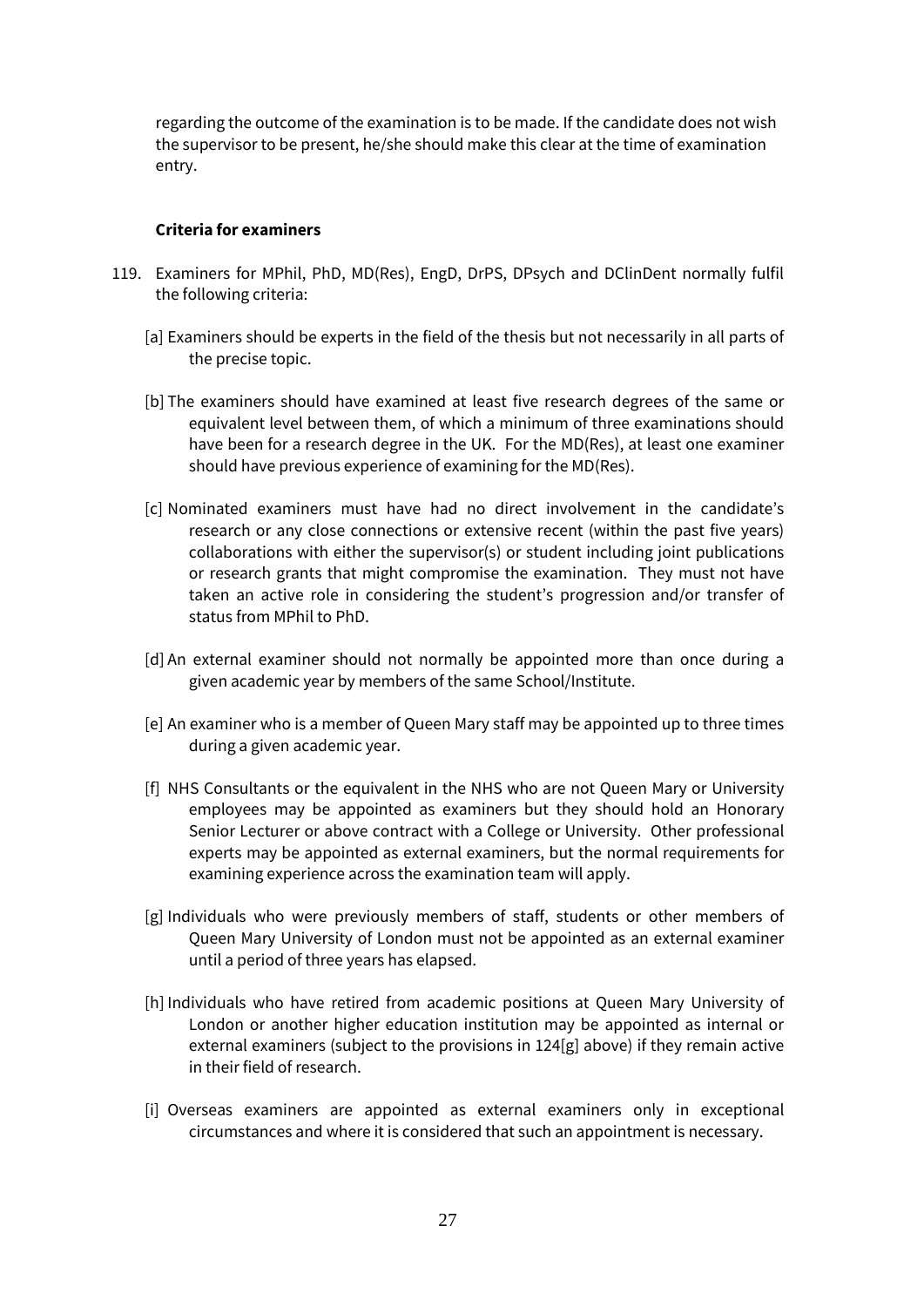regarding the outcome of the examination is to be made. If the candidate does not wish the supervisor to be present, he/she should make this clear at the time of examination entry.

#### **Criteria for examiners**

- 119. Examiners for MPhil, PhD, MD(Res), EngD, DrPS, DPsych and DClinDent normally fulfil the following criteria:
	- [a] Examiners should be experts in the field of the thesis but not necessarily in all parts of the precise topic.
	- [b] The examiners should have examined at least five research degrees of the same or equivalent level between them, of which a minimum of three examinations should have been for a research degree in the UK. For the MD(Res), at least one examiner should have previous experience of examining for the MD(Res).
	- [c] Nominated examiners must have had no direct involvement in the candidate's research or any close connections or extensive recent (within the past five years) collaborations with either the supervisor(s) or student including joint publications or research grants that might compromise the examination. They must not have taken an active role in considering the student's progression and/or transfer of status from MPhil to PhD.
	- [d] An external examiner should not normally be appointed more than once during a given academic year by members of the same School/Institute.
	- [e] An examiner who is a member of Queen Mary staff may be appointed up to three times during a given academic year.
	- [f] NHS Consultants or the equivalent in the NHS who are not Queen Mary or University employees may be appointed as examiners but they should hold an Honorary Senior Lecturer or above contract with a College or University. Other professional experts may be appointed as external examiners, but the normal requirements for examining experience across the examination team will apply.
	- [g] Individuals who were previously members of staff, students or other members of Queen Mary University of London must not be appointed as an external examiner until a period of three years has elapsed.
	- [h] Individuals who have retired from academic positions at Queen Mary University of London or another higher education institution may be appointed as internal or external examiners (subject to the provisions in 124[g] above) if they remain active in their field of research.
	- [i] Overseas examiners are appointed as external examiners only in exceptional circumstances and where it is considered that such an appointment is necessary.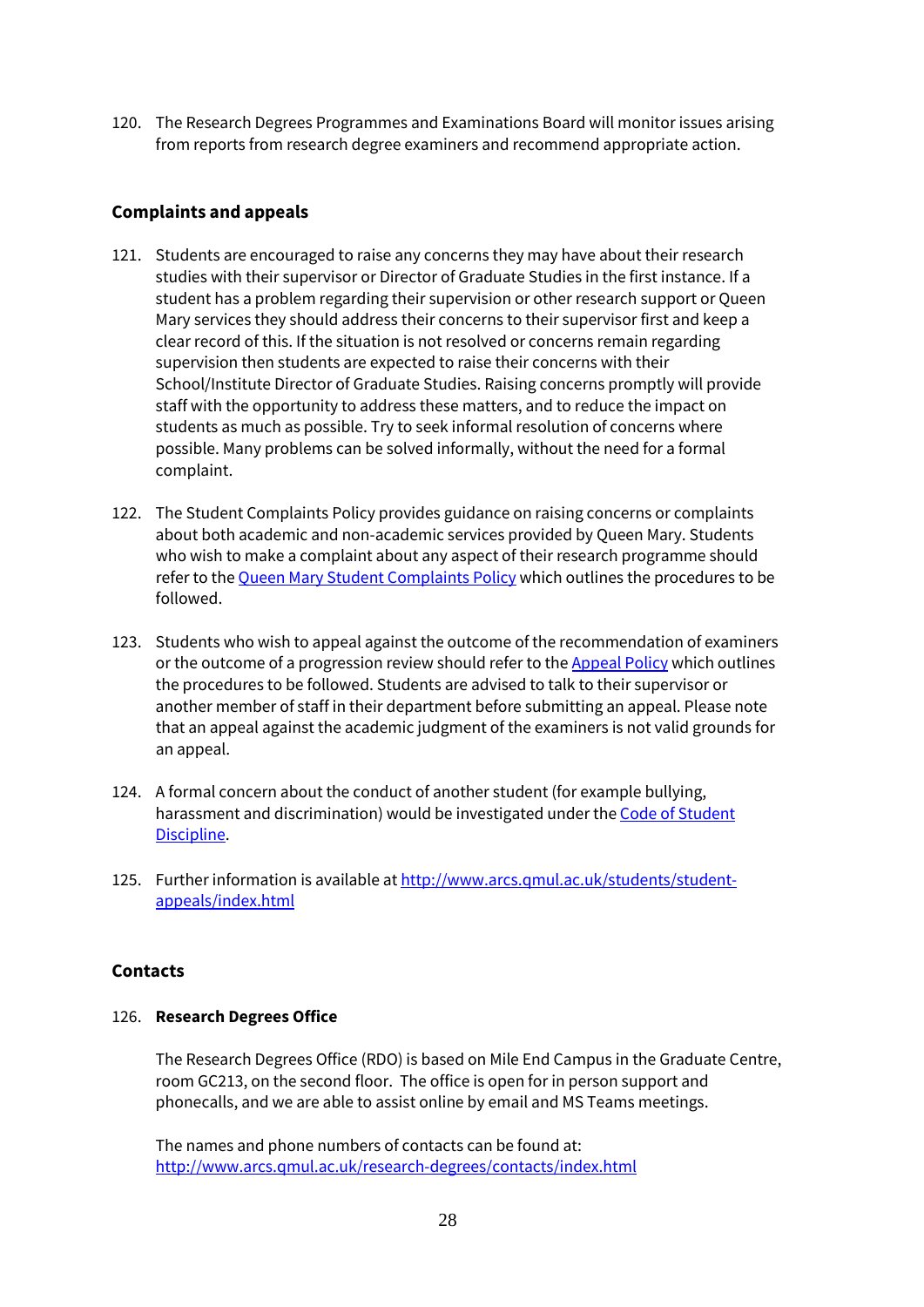120. The Research Degrees Programmes and Examinations Board will monitor issues arising from reports from research degree examiners and recommend appropriate action.

## **Complaints and appeals**

- 121. Students are encouraged to raise any concerns they may have about their research studies with their supervisor or Director of Graduate Studies in the first instance. If a student has a problem regarding their supervision or other research support or Queen Mary services they should address their concerns to their supervisor first and keep a clear record of this. If the situation is not resolved or concerns remain regarding supervision then students are expected to raise their concerns with their School/Institute Director of Graduate Studies. Raising concerns promptly will provide staff with the opportunity to address these matters, and to reduce the impact on students as much as possible. Try to seek informal resolution of concerns where possible. Many problems can be solved informally, without the need for a formal complaint.
- 122. The Student Complaints Policy provides guidance on raising concerns or complaints about both academic and non-academic services provided by Queen Mary. Students who wish to make a complaint about any aspect of their research programme should refer to th[e Queen Mary Student Complaints Policy](http://www.arcs.qmul.ac.uk/students/student-appeals/complaints/) which outlines the procedures to be followed.
- 123. Students who wish to appeal against the outcome of the recommendation of examiners or the outcome of a progression review should refer to the [Appeal Policy](http://www.arcs.qmul.ac.uk/students/student-appeals/complaints/) which outlines the procedures to be followed. Students are advised to talk to their supervisor or another member of staff in their department before submitting an appeal. Please note that an appeal against the academic judgment of the examiners is not valid grounds for an appeal.
- 124. A formal concern about the conduct of another student (for example bullying, harassment and discrimination) would be investigated under th[e Code of Student](http://www.arcs.qmul.ac.uk/media/arcs/policyzone/27-Code-of-Student-Discipline-2018.pdf)  [Discipline.](http://www.arcs.qmul.ac.uk/media/arcs/policyzone/27-Code-of-Student-Discipline-2018.pdf)
- 125. Further information is available a[t http://www.arcs.qmul.ac.uk/students/student](http://www.arcs.qmul.ac.uk/students/student-appeals/index.html)[appeals/index.html](http://www.arcs.qmul.ac.uk/students/student-appeals/index.html)

## **Contacts**

#### 126. **Research Degrees Office**

The Research Degrees Office (RDO) is based on Mile End Campus in the Graduate Centre, room GC213, on the second floor. The office is open for in person support and phonecalls, and we are able to assist online by email and MS Teams meetings.

The names and phone numbers of contacts can be found at: <http://www.arcs.qmul.ac.uk/research-degrees/contacts/index.html>